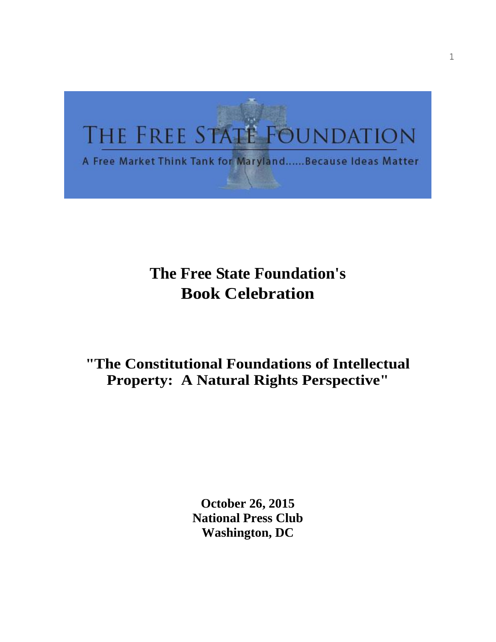# THE FREE STATE FOUNDATION

A Free Market Think Tank for Maryland......Because Ideas Matter

## **The Free State Foundation's Book Celebration**

### **"The Constitutional Foundations of Intellectual Property: A Natural Rights Perspective"**

**October 26, 2015 National Press Club Washington, DC**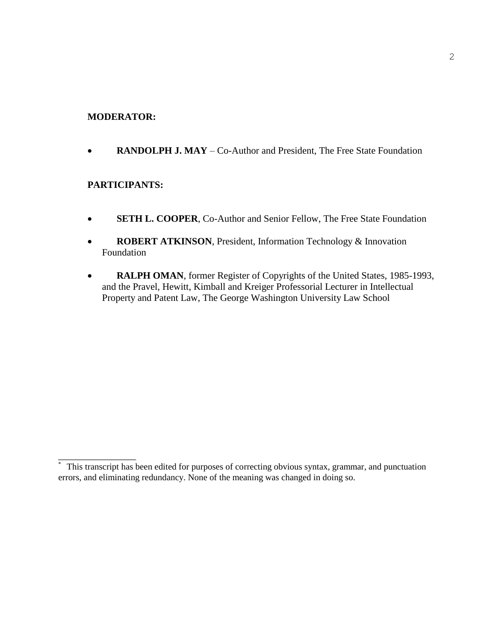#### **MODERATOR:**

**RANDOLPH J. MAY** – Co-Author and President, The Free State Foundation

#### **PARTICIPANTS:**

\_\_\_\_\_\_\_\_\_\_\_\_\_\_\_\_

- **SETH L. COOPER**, Co-Author and Senior Fellow, The Free State Foundation
- **ROBERT ATKINSON**, President, Information Technology & Innovation Foundation
- RALPH OMAN, former Register of Copyrights of the United States, 1985-1993, and the Pravel, Hewitt, Kimball and Kreiger Professorial Lecturer in Intellectual Property and Patent Law, The George Washington University Law School

This transcript has been edited for purposes of correcting obvious syntax, grammar, and punctuation errors, and eliminating redundancy. None of the meaning was changed in doing so.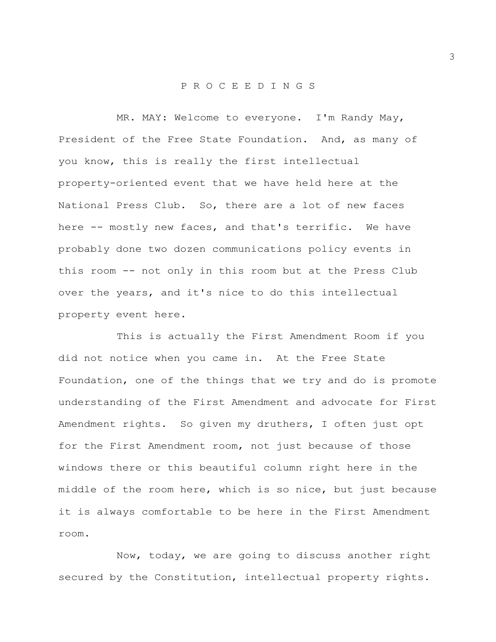#### P R O C E E D I N G S

MR. MAY: Welcome to everyone. I'm Randy May, President of the Free State Foundation. And, as many of you know, this is really the first intellectual property-oriented event that we have held here at the National Press Club. So, there are a lot of new faces here -- mostly new faces, and that's terrific. We have probably done two dozen communications policy events in this room -- not only in this room but at the Press Club over the years, and it's nice to do this intellectual property event here.

This is actually the First Amendment Room if you did not notice when you came in. At the Free State Foundation, one of the things that we try and do is promote understanding of the First Amendment and advocate for First Amendment rights. So given my druthers, I often just opt for the First Amendment room, not just because of those windows there or this beautiful column right here in the middle of the room here, which is so nice, but just because it is always comfortable to be here in the First Amendment room.

Now, today, we are going to discuss another right secured by the Constitution, intellectual property rights.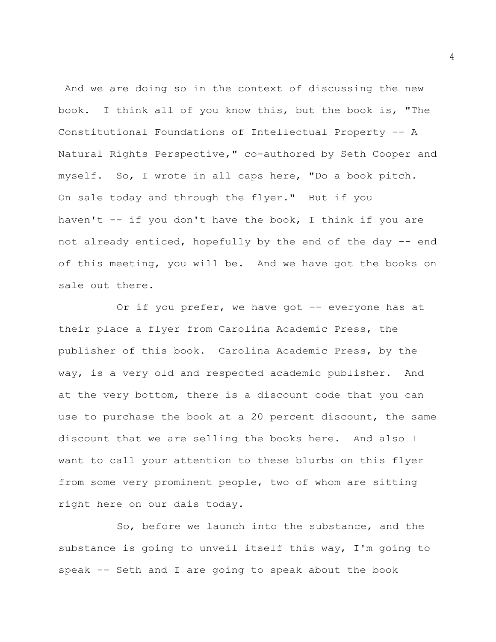And we are doing so in the context of discussing the new book. I think all of you know this, but the book is, "The Constitutional Foundations of Intellectual Property -- A Natural Rights Perspective," co-authored by Seth Cooper and myself. So, I wrote in all caps here, "Do a book pitch. On sale today and through the flyer." But if you haven't -- if you don't have the book, I think if you are not already enticed, hopefully by the end of the day -- end of this meeting, you will be. And we have got the books on sale out there.

Or if you prefer, we have got -- everyone has at their place a flyer from Carolina Academic Press, the publisher of this book. Carolina Academic Press, by the way, is a very old and respected academic publisher. And at the very bottom, there is a discount code that you can use to purchase the book at a 20 percent discount, the same discount that we are selling the books here. And also I want to call your attention to these blurbs on this flyer from some very prominent people, two of whom are sitting right here on our dais today.

So, before we launch into the substance, and the substance is going to unveil itself this way, I'm going to speak -- Seth and I are going to speak about the book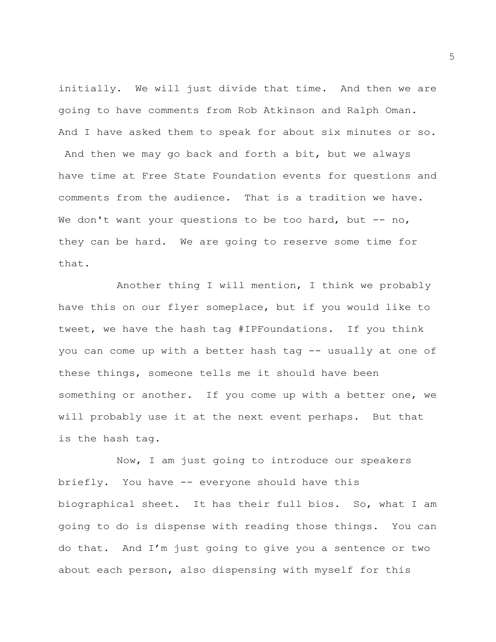initially. We will just divide that time. And then we are going to have comments from Rob Atkinson and Ralph Oman. And I have asked them to speak for about six minutes or so. And then we may go back and forth a bit, but we always have time at Free State Foundation events for questions and comments from the audience. That is a tradition we have. We don't want your questions to be too hard, but  $-$  no, they can be hard. We are going to reserve some time for that.

Another thing I will mention, I think we probably have this on our flyer someplace, but if you would like to tweet, we have the hash tag #IPFoundations. If you think you can come up with a better hash tag -- usually at one of these things, someone tells me it should have been something or another. If you come up with a better one, we will probably use it at the next event perhaps. But that is the hash tag.

Now, I am just going to introduce our speakers briefly. You have -- everyone should have this biographical sheet. It has their full bios. So, what I am going to do is dispense with reading those things. You can do that. And I'm just going to give you a sentence or two about each person, also dispensing with myself for this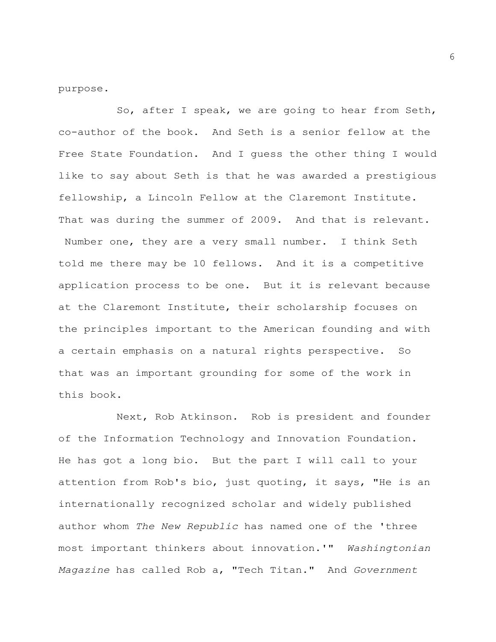purpose.

So, after I speak, we are going to hear from Seth, co-author of the book. And Seth is a senior fellow at the Free State Foundation. And I guess the other thing I would like to say about Seth is that he was awarded a prestigious fellowship, a Lincoln Fellow at the Claremont Institute. That was during the summer of 2009. And that is relevant. Number one, they are a very small number. I think Seth told me there may be 10 fellows. And it is a competitive application process to be one. But it is relevant because at the Claremont Institute, their scholarship focuses on the principles important to the American founding and with a certain emphasis on a natural rights perspective. So that was an important grounding for some of the work in this book.

Next, Rob Atkinson. Rob is president and founder of the Information Technology and Innovation Foundation. He has got a long bio. But the part I will call to your attention from Rob's bio, just quoting, it says, "He is an internationally recognized scholar and widely published author whom *The New Republic* has named one of the 'three most important thinkers about innovation.'" *Washingtonian Magazine* has called Rob a, "Tech Titan." And *Government*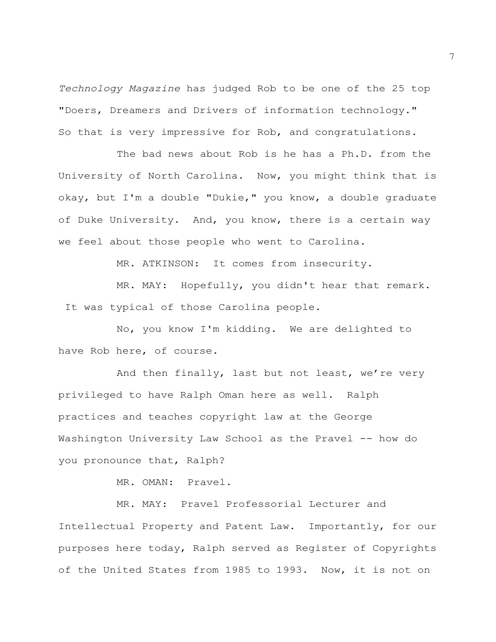*Technology Magazine* has judged Rob to be one of the 25 top "Doers, Dreamers and Drivers of information technology." So that is very impressive for Rob, and congratulations.

The bad news about Rob is he has a Ph.D. from the University of North Carolina. Now, you might think that is okay, but I'm a double "Dukie," you know, a double graduate of Duke University. And, you know, there is a certain way we feel about those people who went to Carolina.

MR. ATKINSON: It comes from insecurity.

MR. MAY: Hopefully, you didn't hear that remark. It was typical of those Carolina people.

No, you know I'm kidding. We are delighted to have Rob here, of course.

And then finally, last but not least, we're very privileged to have Ralph Oman here as well. Ralph practices and teaches copyright law at the George Washington University Law School as the Pravel -- how do you pronounce that, Ralph?

MR. OMAN: Pravel.

MR. MAY: Pravel Professorial Lecturer and Intellectual Property and Patent Law. Importantly, for our purposes here today, Ralph served as Register of Copyrights of the United States from 1985 to 1993. Now, it is not on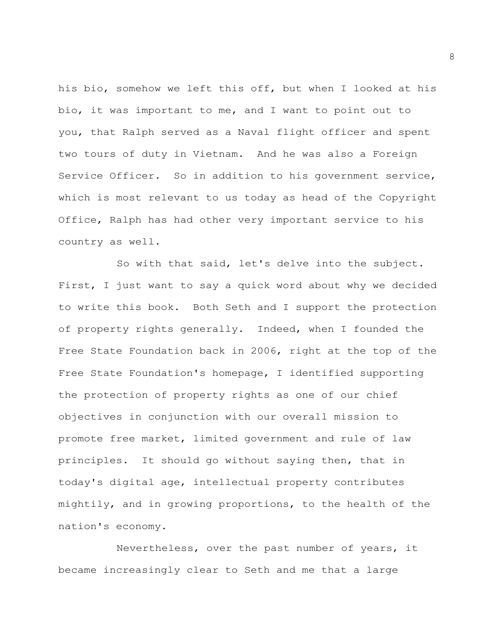his bio, somehow we left this off, but when I looked at his bio, it was important to me, and I want to point out to you, that Ralph served as a Naval flight officer and spent two tours of duty in Vietnam. And he was also a Foreign Service Officer. So in addition to his government service, which is most relevant to us today as head of the Copyright Office, Ralph has had other very important service to his country as well.

So with that said, let's delve into the subject. First, I just want to say a quick word about why we decided to write this book. Both Seth and I support the protection of property rights generally. Indeed, when I founded the Free State Foundation back in 2006, right at the top of the Free State Foundation's homepage, I identified supporting the protection of property rights as one of our chief objectives in conjunction with our overall mission to promote free market, limited government and rule of law principles. It should go without saying then, that in today's digital age, intellectual property contributes mightily, and in growing proportions, to the health of the nation's economy.

Nevertheless, over the past number of years, it became increasingly clear to Seth and me that a large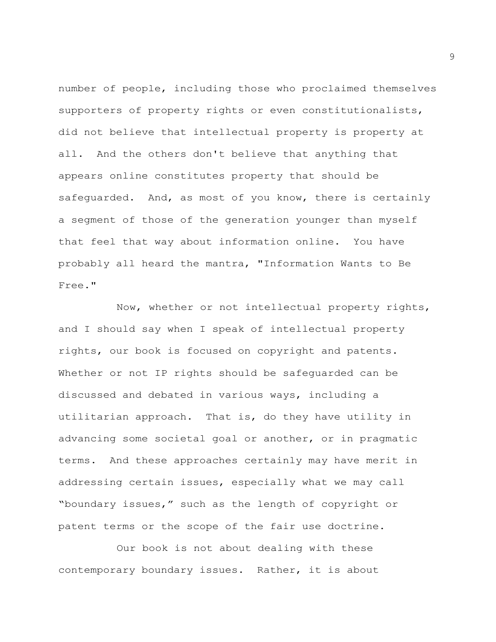number of people, including those who proclaimed themselves supporters of property rights or even constitutionalists, did not believe that intellectual property is property at all. And the others don't believe that anything that appears online constitutes property that should be safeguarded. And, as most of you know, there is certainly a segment of those of the generation younger than myself that feel that way about information online. You have probably all heard the mantra, "Information Wants to Be Free."

Now, whether or not intellectual property rights, and I should say when I speak of intellectual property rights, our book is focused on copyright and patents. Whether or not IP rights should be safeguarded can be discussed and debated in various ways, including a utilitarian approach. That is, do they have utility in advancing some societal goal or another, or in pragmatic terms. And these approaches certainly may have merit in addressing certain issues, especially what we may call "boundary issues," such as the length of copyright or patent terms or the scope of the fair use doctrine.

Our book is not about dealing with these contemporary boundary issues. Rather, it is about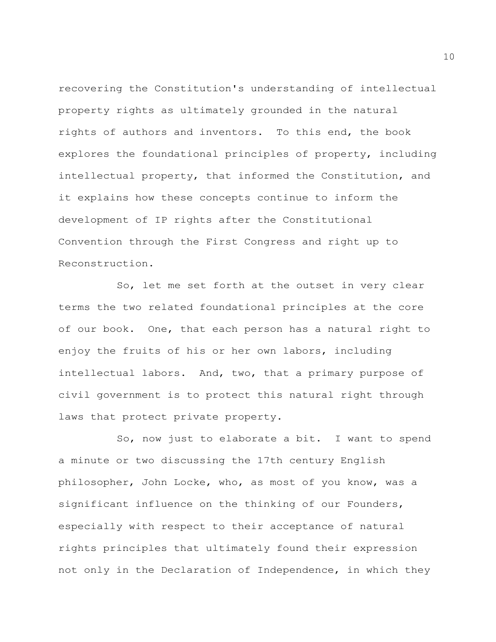recovering the Constitution's understanding of intellectual property rights as ultimately grounded in the natural rights of authors and inventors. To this end, the book explores the foundational principles of property, including intellectual property, that informed the Constitution, and it explains how these concepts continue to inform the development of IP rights after the Constitutional Convention through the First Congress and right up to Reconstruction.

So, let me set forth at the outset in very clear terms the two related foundational principles at the core of our book. One, that each person has a natural right to enjoy the fruits of his or her own labors, including intellectual labors. And, two, that a primary purpose of civil government is to protect this natural right through laws that protect private property.

So, now just to elaborate a bit. I want to spend a minute or two discussing the 17th century English philosopher, John Locke, who, as most of you know, was a significant influence on the thinking of our Founders, especially with respect to their acceptance of natural rights principles that ultimately found their expression not only in the Declaration of Independence, in which they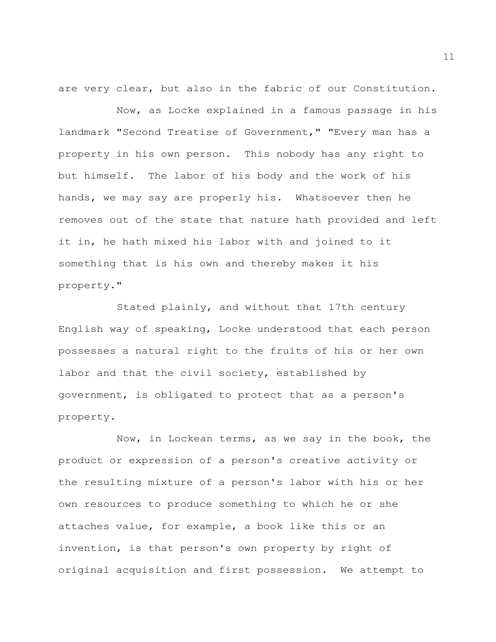are very clear, but also in the fabric of our Constitution.

Now, as Locke explained in a famous passage in his landmark "Second Treatise of Government," "Every man has a property in his own person. This nobody has any right to but himself. The labor of his body and the work of his hands, we may say are properly his. Whatsoever then he removes out of the state that nature hath provided and left it in, he hath mixed his labor with and joined to it something that is his own and thereby makes it his property."

Stated plainly, and without that 17th century English way of speaking, Locke understood that each person possesses a natural right to the fruits of his or her own labor and that the civil society, established by government, is obligated to protect that as a person's property.

Now, in Lockean terms, as we say in the book, the product or expression of a person's creative activity or the resulting mixture of a person's labor with his or her own resources to produce something to which he or she attaches value, for example, a book like this or an invention, is that person's own property by right of original acquisition and first possession. We attempt to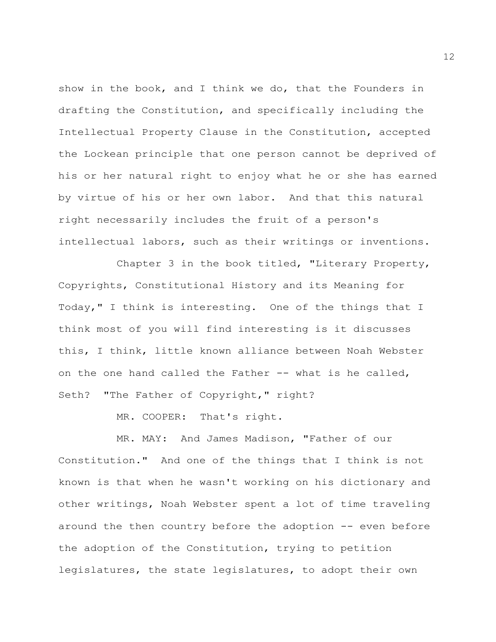show in the book, and I think we do, that the Founders in drafting the Constitution, and specifically including the Intellectual Property Clause in the Constitution, accepted the Lockean principle that one person cannot be deprived of his or her natural right to enjoy what he or she has earned by virtue of his or her own labor. And that this natural right necessarily includes the fruit of a person's intellectual labors, such as their writings or inventions.

Chapter 3 in the book titled, "Literary Property, Copyrights, Constitutional History and its Meaning for Today," I think is interesting. One of the things that I think most of you will find interesting is it discusses this, I think, little known alliance between Noah Webster on the one hand called the Father -- what is he called, Seth? "The Father of Copyright," right?

MR. COOPER: That's right.

MR. MAY: And James Madison, "Father of our Constitution." And one of the things that I think is not known is that when he wasn't working on his dictionary and other writings, Noah Webster spent a lot of time traveling around the then country before the adoption -- even before the adoption of the Constitution, trying to petition legislatures, the state legislatures, to adopt their own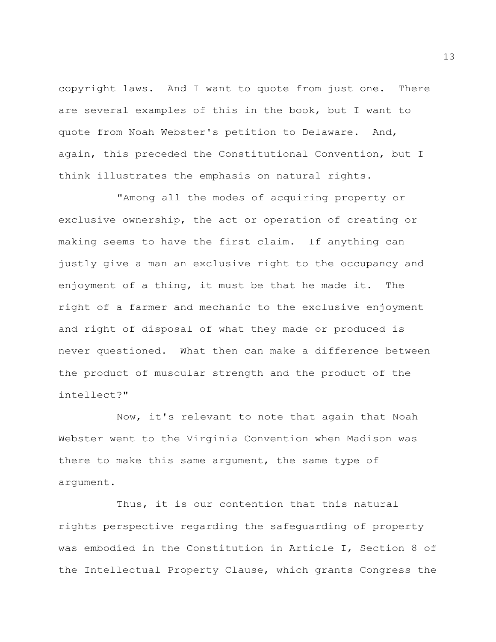copyright laws. And I want to quote from just one. There are several examples of this in the book, but I want to quote from Noah Webster's petition to Delaware. And, again, this preceded the Constitutional Convention, but I think illustrates the emphasis on natural rights.

"Among all the modes of acquiring property or exclusive ownership, the act or operation of creating or making seems to have the first claim. If anything can justly give a man an exclusive right to the occupancy and enjoyment of a thing, it must be that he made it. The right of a farmer and mechanic to the exclusive enjoyment and right of disposal of what they made or produced is never questioned. What then can make a difference between the product of muscular strength and the product of the intellect?"

Now, it's relevant to note that again that Noah Webster went to the Virginia Convention when Madison was there to make this same argument, the same type of argument.

Thus, it is our contention that this natural rights perspective regarding the safeguarding of property was embodied in the Constitution in Article I, Section 8 of the Intellectual Property Clause, which grants Congress the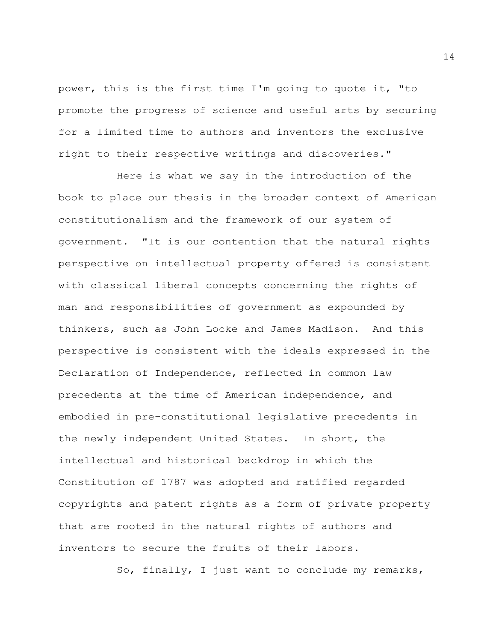power, this is the first time I'm going to quote it, "to promote the progress of science and useful arts by securing for a limited time to authors and inventors the exclusive right to their respective writings and discoveries."

Here is what we say in the introduction of the book to place our thesis in the broader context of American constitutionalism and the framework of our system of government. "It is our contention that the natural rights perspective on intellectual property offered is consistent with classical liberal concepts concerning the rights of man and responsibilities of government as expounded by thinkers, such as John Locke and James Madison. And this perspective is consistent with the ideals expressed in the Declaration of Independence, reflected in common law precedents at the time of American independence, and embodied in pre-constitutional legislative precedents in the newly independent United States. In short, the intellectual and historical backdrop in which the Constitution of 1787 was adopted and ratified regarded copyrights and patent rights as a form of private property that are rooted in the natural rights of authors and inventors to secure the fruits of their labors.

So, finally, I just want to conclude my remarks,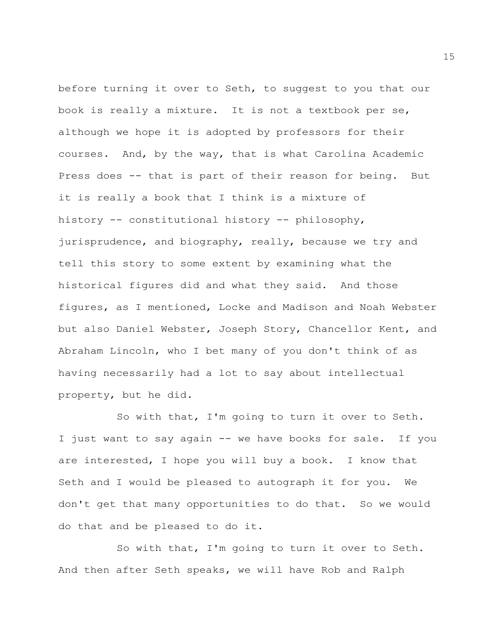before turning it over to Seth, to suggest to you that our book is really a mixture. It is not a textbook per se, although we hope it is adopted by professors for their courses. And, by the way, that is what Carolina Academic Press does -- that is part of their reason for being. But it is really a book that I think is a mixture of history -- constitutional history -- philosophy, jurisprudence, and biography, really, because we try and tell this story to some extent by examining what the historical figures did and what they said. And those figures, as I mentioned, Locke and Madison and Noah Webster but also Daniel Webster, Joseph Story, Chancellor Kent, and Abraham Lincoln, who I bet many of you don't think of as having necessarily had a lot to say about intellectual property, but he did.

So with that, I'm going to turn it over to Seth. I just want to say again -- we have books for sale. If you are interested, I hope you will buy a book. I know that Seth and I would be pleased to autograph it for you. We don't get that many opportunities to do that. So we would do that and be pleased to do it.

So with that, I'm going to turn it over to Seth. And then after Seth speaks, we will have Rob and Ralph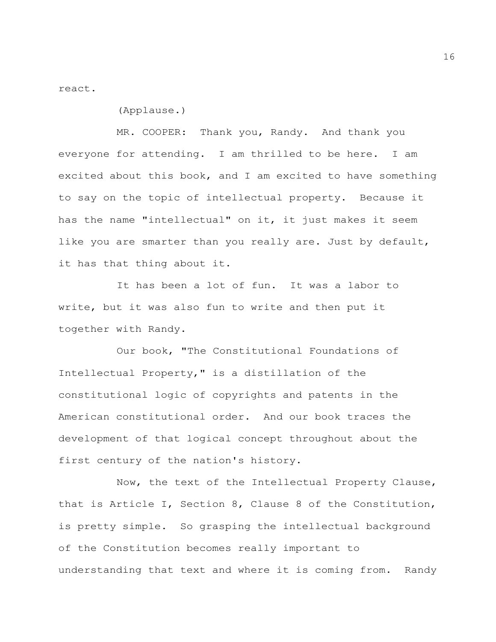react.

(Applause.)

MR. COOPER: Thank you, Randy. And thank you everyone for attending. I am thrilled to be here. I am excited about this book, and I am excited to have something to say on the topic of intellectual property. Because it has the name "intellectual" on it, it just makes it seem like you are smarter than you really are. Just by default, it has that thing about it.

It has been a lot of fun. It was a labor to write, but it was also fun to write and then put it together with Randy.

Our book, "The Constitutional Foundations of Intellectual Property," is a distillation of the constitutional logic of copyrights and patents in the American constitutional order. And our book traces the development of that logical concept throughout about the first century of the nation's history.

Now, the text of the Intellectual Property Clause, that is Article I, Section 8, Clause 8 of the Constitution, is pretty simple. So grasping the intellectual background of the Constitution becomes really important to understanding that text and where it is coming from. Randy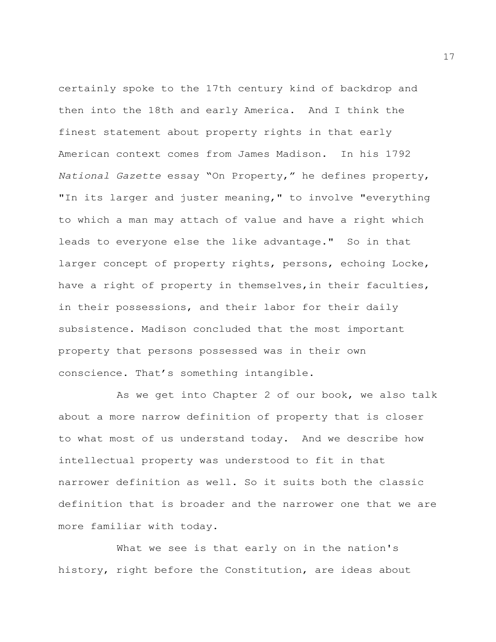certainly spoke to the 17th century kind of backdrop and then into the 18th and early America. And I think the finest statement about property rights in that early American context comes from James Madison. In his 1792 *National Gazette* essay "On Property," he defines property, "In its larger and juster meaning," to involve "everything to which a man may attach of value and have a right which leads to everyone else the like advantage." So in that larger concept of property rights, persons, echoing Locke, have a right of property in themselves,in their faculties, in their possessions, and their labor for their daily subsistence. Madison concluded that the most important property that persons possessed was in their own conscience. That's something intangible.

As we get into Chapter 2 of our book, we also talk about a more narrow definition of property that is closer to what most of us understand today. And we describe how intellectual property was understood to fit in that narrower definition as well. So it suits both the classic definition that is broader and the narrower one that we are more familiar with today.

What we see is that early on in the nation's history, right before the Constitution, are ideas about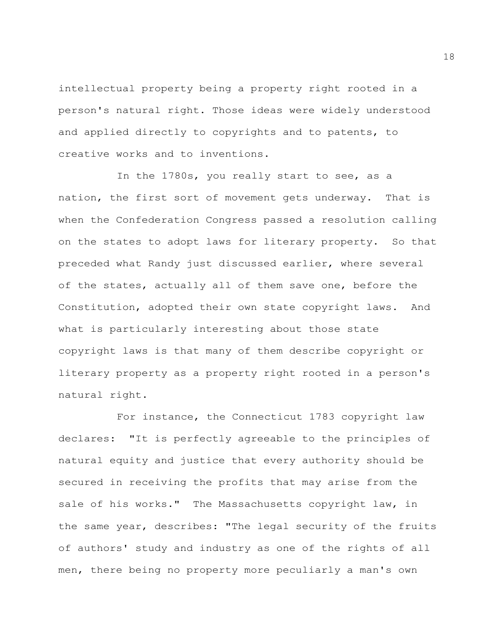intellectual property being a property right rooted in a person's natural right. Those ideas were widely understood and applied directly to copyrights and to patents, to creative works and to inventions.

In the 1780s, you really start to see, as a nation, the first sort of movement gets underway. That is when the Confederation Congress passed a resolution calling on the states to adopt laws for literary property. So that preceded what Randy just discussed earlier, where several of the states, actually all of them save one, before the Constitution, adopted their own state copyright laws. And what is particularly interesting about those state copyright laws is that many of them describe copyright or literary property as a property right rooted in a person's natural right.

For instance, the Connecticut 1783 copyright law declares: "It is perfectly agreeable to the principles of natural equity and justice that every authority should be secured in receiving the profits that may arise from the sale of his works." The Massachusetts copyright law, in the same year, describes: "The legal security of the fruits of authors' study and industry as one of the rights of all men, there being no property more peculiarly a man's own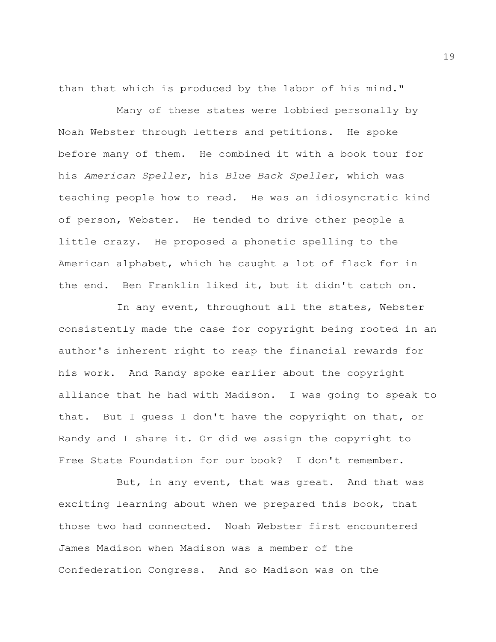than that which is produced by the labor of his mind."

Many of these states were lobbied personally by Noah Webster through letters and petitions. He spoke before many of them. He combined it with a book tour for his *American Speller*, his *Blue Back Speller*, which was teaching people how to read. He was an idiosyncratic kind of person, Webster. He tended to drive other people a little crazy. He proposed a phonetic spelling to the American alphabet, which he caught a lot of flack for in the end. Ben Franklin liked it, but it didn't catch on.

In any event, throughout all the states, Webster consistently made the case for copyright being rooted in an author's inherent right to reap the financial rewards for his work. And Randy spoke earlier about the copyright alliance that he had with Madison. I was going to speak to that. But I guess I don't have the copyright on that, or Randy and I share it. Or did we assign the copyright to Free State Foundation for our book? I don't remember.

But, in any event, that was great. And that was exciting learning about when we prepared this book, that those two had connected. Noah Webster first encountered James Madison when Madison was a member of the Confederation Congress. And so Madison was on the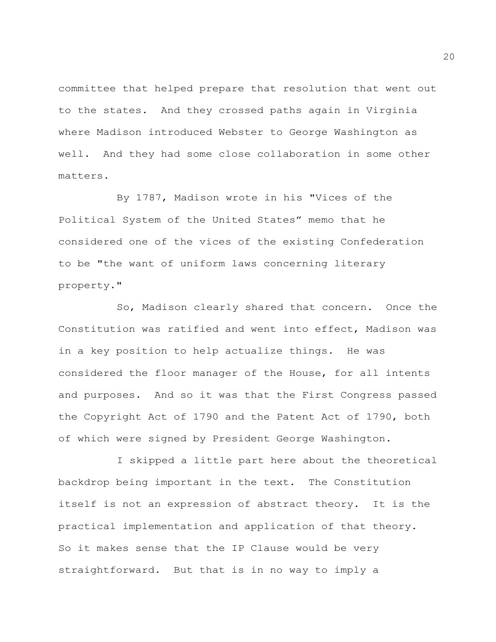committee that helped prepare that resolution that went out to the states. And they crossed paths again in Virginia where Madison introduced Webster to George Washington as well. And they had some close collaboration in some other matters.

By 1787, Madison wrote in his "Vices of the Political System of the United States" memo that he considered one of the vices of the existing Confederation to be "the want of uniform laws concerning literary property."

So, Madison clearly shared that concern. Once the Constitution was ratified and went into effect, Madison was in a key position to help actualize things. He was considered the floor manager of the House, for all intents and purposes. And so it was that the First Congress passed the Copyright Act of 1790 and the Patent Act of 1790, both of which were signed by President George Washington.

I skipped a little part here about the theoretical backdrop being important in the text. The Constitution itself is not an expression of abstract theory. It is the practical implementation and application of that theory. So it makes sense that the IP Clause would be very straightforward. But that is in no way to imply a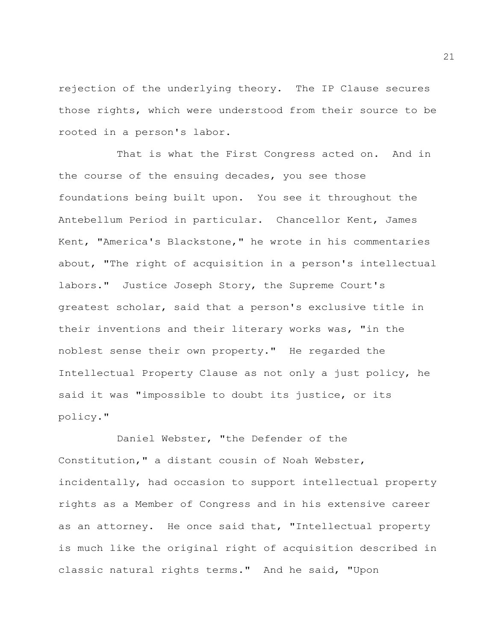rejection of the underlying theory. The IP Clause secures those rights, which were understood from their source to be rooted in a person's labor.

That is what the First Congress acted on. And in the course of the ensuing decades, you see those foundations being built upon. You see it throughout the Antebellum Period in particular. Chancellor Kent, James Kent, "America's Blackstone," he wrote in his commentaries about, "The right of acquisition in a person's intellectual labors." Justice Joseph Story, the Supreme Court's greatest scholar, said that a person's exclusive title in their inventions and their literary works was, "in the noblest sense their own property." He regarded the Intellectual Property Clause as not only a just policy, he said it was "impossible to doubt its justice, or its policy."

Daniel Webster, "the Defender of the Constitution," a distant cousin of Noah Webster, incidentally, had occasion to support intellectual property rights as a Member of Congress and in his extensive career as an attorney. He once said that, "Intellectual property is much like the original right of acquisition described in classic natural rights terms." And he said, "Upon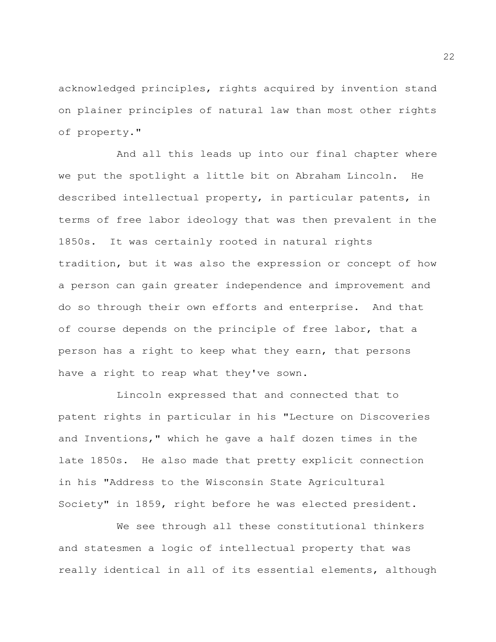acknowledged principles, rights acquired by invention stand on plainer principles of natural law than most other rights of property."

And all this leads up into our final chapter where we put the spotlight a little bit on Abraham Lincoln. He described intellectual property, in particular patents, in terms of free labor ideology that was then prevalent in the 1850s. It was certainly rooted in natural rights tradition, but it was also the expression or concept of how a person can gain greater independence and improvement and do so through their own efforts and enterprise. And that of course depends on the principle of free labor, that a person has a right to keep what they earn, that persons have a right to reap what they've sown.

Lincoln expressed that and connected that to patent rights in particular in his "Lecture on Discoveries and Inventions," which he gave a half dozen times in the late 1850s. He also made that pretty explicit connection in his "Address to the Wisconsin State Agricultural Society" in 1859, right before he was elected president.

We see through all these constitutional thinkers and statesmen a logic of intellectual property that was really identical in all of its essential elements, although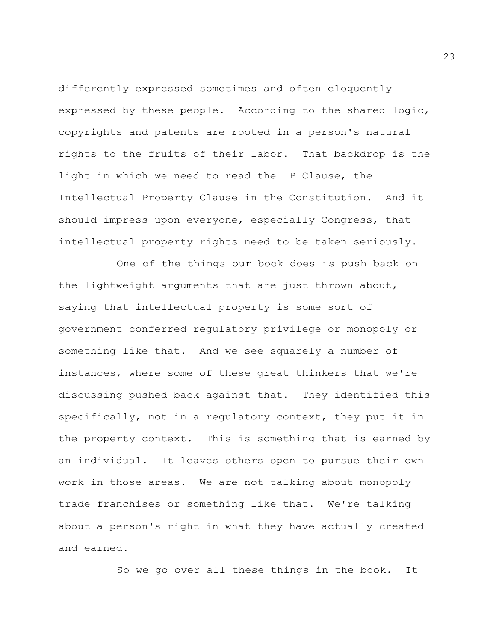differently expressed sometimes and often eloquently expressed by these people. According to the shared logic, copyrights and patents are rooted in a person's natural rights to the fruits of their labor. That backdrop is the light in which we need to read the IP Clause, the Intellectual Property Clause in the Constitution. And it should impress upon everyone, especially Congress, that intellectual property rights need to be taken seriously.

One of the things our book does is push back on the lightweight arguments that are just thrown about, saying that intellectual property is some sort of government conferred regulatory privilege or monopoly or something like that. And we see squarely a number of instances, where some of these great thinkers that we're discussing pushed back against that. They identified this specifically, not in a regulatory context, they put it in the property context. This is something that is earned by an individual. It leaves others open to pursue their own work in those areas. We are not talking about monopoly trade franchises or something like that. We're talking about a person's right in what they have actually created and earned.

So we go over all these things in the book. It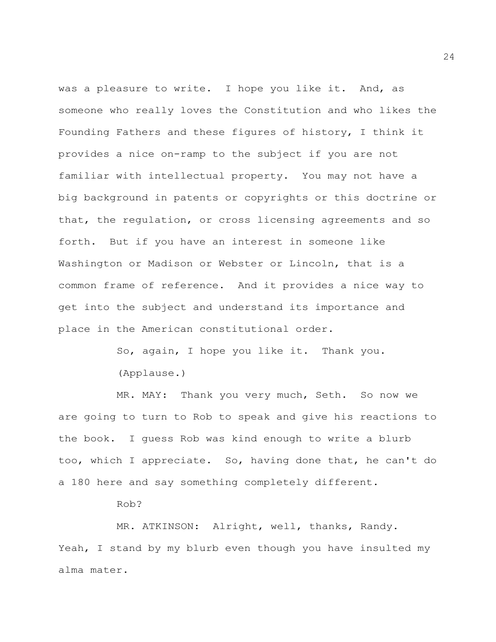was a pleasure to write. I hope you like it. And, as someone who really loves the Constitution and who likes the Founding Fathers and these figures of history, I think it provides a nice on-ramp to the subject if you are not familiar with intellectual property. You may not have a big background in patents or copyrights or this doctrine or that, the regulation, or cross licensing agreements and so forth. But if you have an interest in someone like Washington or Madison or Webster or Lincoln, that is a common frame of reference. And it provides a nice way to get into the subject and understand its importance and place in the American constitutional order.

> So, again, I hope you like it. Thank you. (Applause.)

MR. MAY: Thank you very much, Seth. So now we are going to turn to Rob to speak and give his reactions to the book. I guess Rob was kind enough to write a blurb too, which I appreciate. So, having done that, he can't do a 180 here and say something completely different.

Rob?

MR. ATKINSON: Alright, well, thanks, Randy. Yeah, I stand by my blurb even though you have insulted my alma mater.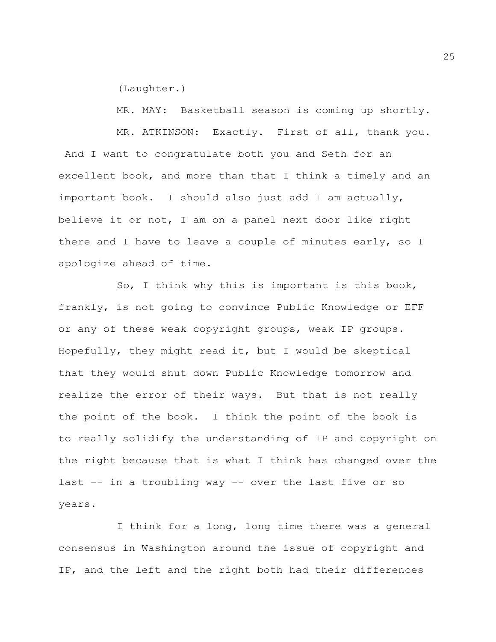(Laughter.)

MR. MAY: Basketball season is coming up shortly.

MR. ATKINSON: Exactly. First of all, thank you. And I want to congratulate both you and Seth for an excellent book, and more than that I think a timely and an important book. I should also just add I am actually, believe it or not, I am on a panel next door like right there and I have to leave a couple of minutes early, so I apologize ahead of time.

So, I think why this is important is this book, frankly, is not going to convince Public Knowledge or EFF or any of these weak copyright groups, weak IP groups. Hopefully, they might read it, but I would be skeptical that they would shut down Public Knowledge tomorrow and realize the error of their ways. But that is not really the point of the book. I think the point of the book is to really solidify the understanding of IP and copyright on the right because that is what I think has changed over the last -- in a troubling way -- over the last five or so years.

I think for a long, long time there was a general consensus in Washington around the issue of copyright and IP, and the left and the right both had their differences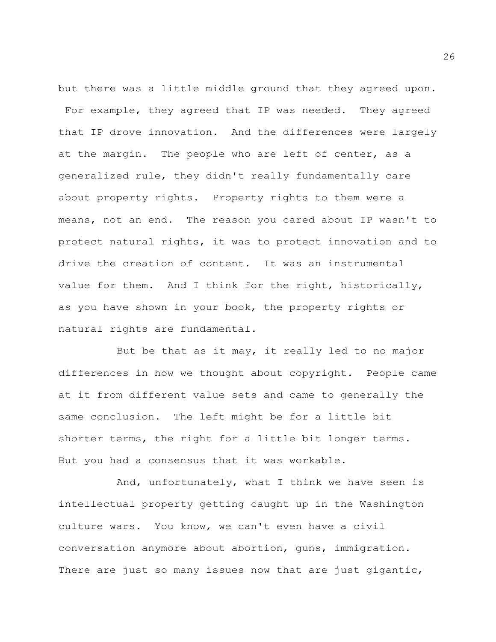but there was a little middle ground that they agreed upon. For example, they agreed that IP was needed. They agreed that IP drove innovation. And the differences were largely at the margin. The people who are left of center, as a generalized rule, they didn't really fundamentally care about property rights. Property rights to them were a means, not an end. The reason you cared about IP wasn't to protect natural rights, it was to protect innovation and to drive the creation of content. It was an instrumental value for them. And I think for the right, historically, as you have shown in your book, the property rights or natural rights are fundamental.

But be that as it may, it really led to no major differences in how we thought about copyright. People came at it from different value sets and came to generally the same conclusion. The left might be for a little bit shorter terms, the right for a little bit longer terms. But you had a consensus that it was workable.

And, unfortunately, what I think we have seen is intellectual property getting caught up in the Washington culture wars. You know, we can't even have a civil conversation anymore about abortion, guns, immigration. There are just so many issues now that are just gigantic,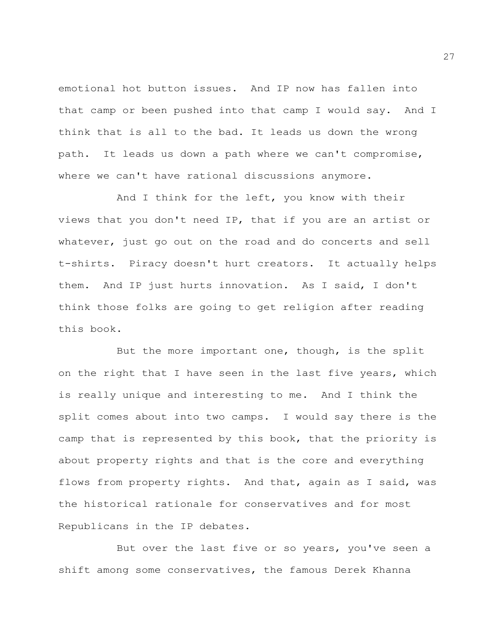emotional hot button issues. And IP now has fallen into that camp or been pushed into that camp I would say. And I think that is all to the bad. It leads us down the wrong path. It leads us down a path where we can't compromise, where we can't have rational discussions anymore.

And I think for the left, you know with their views that you don't need IP, that if you are an artist or whatever, just go out on the road and do concerts and sell t-shirts. Piracy doesn't hurt creators. It actually helps them. And IP just hurts innovation. As I said, I don't think those folks are going to get religion after reading this book.

But the more important one, though, is the split on the right that I have seen in the last five years, which is really unique and interesting to me. And I think the split comes about into two camps. I would say there is the camp that is represented by this book, that the priority is about property rights and that is the core and everything flows from property rights. And that, again as I said, was the historical rationale for conservatives and for most Republicans in the IP debates.

But over the last five or so years, you've seen a shift among some conservatives, the famous Derek Khanna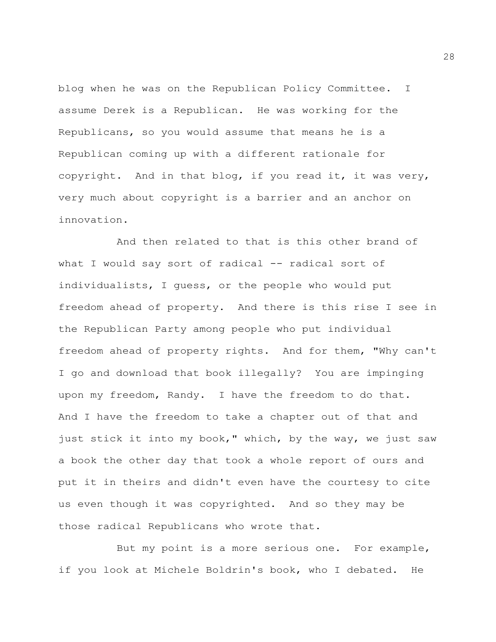blog when he was on the Republican Policy Committee. I assume Derek is a Republican. He was working for the Republicans, so you would assume that means he is a Republican coming up with a different rationale for copyright. And in that blog, if you read it, it was very, very much about copyright is a barrier and an anchor on innovation.

And then related to that is this other brand of what I would say sort of radical -- radical sort of individualists, I guess, or the people who would put freedom ahead of property. And there is this rise I see in the Republican Party among people who put individual freedom ahead of property rights. And for them, "Why can't I go and download that book illegally? You are impinging upon my freedom, Randy. I have the freedom to do that. And I have the freedom to take a chapter out of that and just stick it into my book," which, by the way, we just saw a book the other day that took a whole report of ours and put it in theirs and didn't even have the courtesy to cite us even though it was copyrighted. And so they may be those radical Republicans who wrote that.

But my point is a more serious one. For example, if you look at Michele Boldrin's book, who I debated. He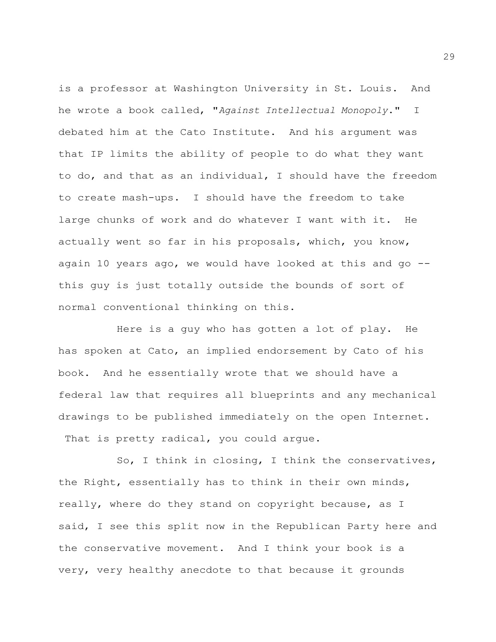is a professor at Washington University in St. Louis. And he wrote a book called, "*Against Intellectual Monopoly*." I debated him at the Cato Institute. And his argument was that IP limits the ability of people to do what they want to do, and that as an individual, I should have the freedom to create mash-ups. I should have the freedom to take large chunks of work and do whatever I want with it. He actually went so far in his proposals, which, you know, again 10 years ago, we would have looked at this and go  $-$ this guy is just totally outside the bounds of sort of normal conventional thinking on this.

Here is a guy who has gotten a lot of play. He has spoken at Cato, an implied endorsement by Cato of his book. And he essentially wrote that we should have a federal law that requires all blueprints and any mechanical drawings to be published immediately on the open Internet. That is pretty radical, you could argue.

So, I think in closing, I think the conservatives, the Right, essentially has to think in their own minds, really, where do they stand on copyright because, as I said, I see this split now in the Republican Party here and the conservative movement. And I think your book is a very, very healthy anecdote to that because it grounds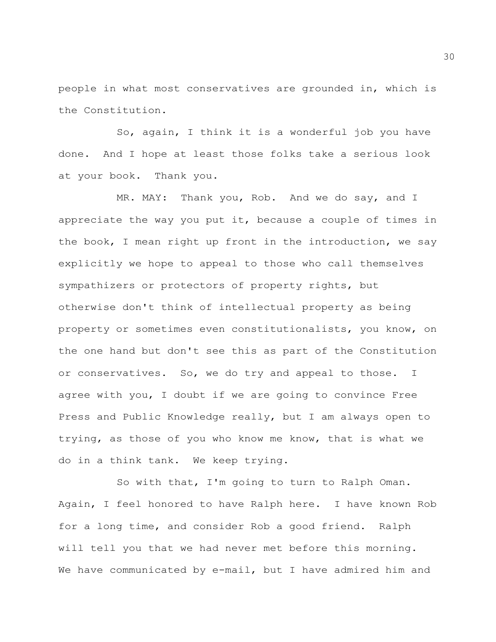people in what most conservatives are grounded in, which is the Constitution.

So, again, I think it is a wonderful job you have done. And I hope at least those folks take a serious look at your book. Thank you.

MR. MAY: Thank you, Rob. And we do say, and I appreciate the way you put it, because a couple of times in the book, I mean right up front in the introduction, we say explicitly we hope to appeal to those who call themselves sympathizers or protectors of property rights, but otherwise don't think of intellectual property as being property or sometimes even constitutionalists, you know, on the one hand but don't see this as part of the Constitution or conservatives. So, we do try and appeal to those. I agree with you, I doubt if we are going to convince Free Press and Public Knowledge really, but I am always open to trying, as those of you who know me know, that is what we do in a think tank. We keep trying.

So with that, I'm going to turn to Ralph Oman. Again, I feel honored to have Ralph here. I have known Rob for a long time, and consider Rob a good friend. Ralph will tell you that we had never met before this morning. We have communicated by e-mail, but I have admired him and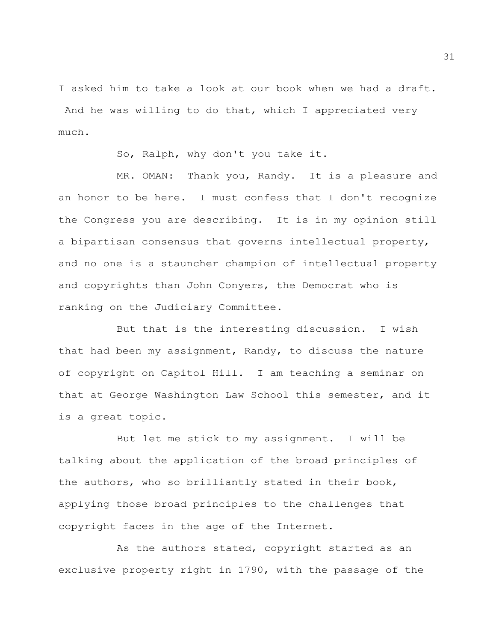I asked him to take a look at our book when we had a draft.

And he was willing to do that, which I appreciated very much.

So, Ralph, why don't you take it.

MR. OMAN: Thank you, Randy. It is a pleasure and an honor to be here. I must confess that I don't recognize the Congress you are describing. It is in my opinion still a bipartisan consensus that governs intellectual property, and no one is a stauncher champion of intellectual property and copyrights than John Conyers, the Democrat who is ranking on the Judiciary Committee.

But that is the interesting discussion. I wish that had been my assignment, Randy, to discuss the nature of copyright on Capitol Hill. I am teaching a seminar on that at George Washington Law School this semester, and it is a great topic.

But let me stick to my assignment. I will be talking about the application of the broad principles of the authors, who so brilliantly stated in their book, applying those broad principles to the challenges that copyright faces in the age of the Internet.

As the authors stated, copyright started as an exclusive property right in 1790, with the passage of the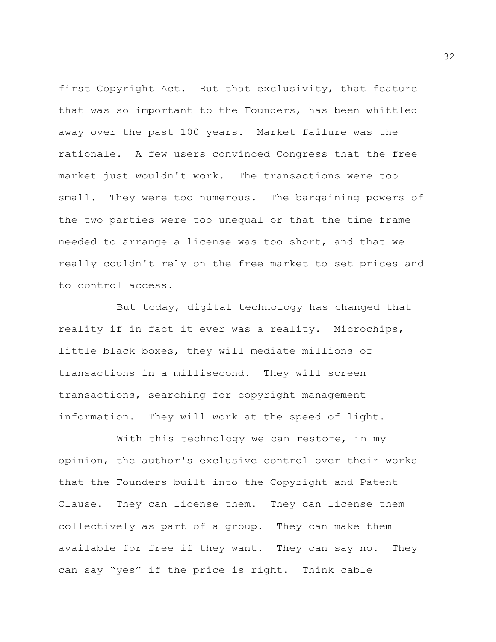first Copyright Act. But that exclusivity, that feature that was so important to the Founders, has been whittled away over the past 100 years. Market failure was the rationale. A few users convinced Congress that the free market just wouldn't work. The transactions were too small. They were too numerous. The bargaining powers of the two parties were too unequal or that the time frame needed to arrange a license was too short, and that we really couldn't rely on the free market to set prices and to control access.

But today, digital technology has changed that reality if in fact it ever was a reality. Microchips, little black boxes, they will mediate millions of transactions in a millisecond. They will screen transactions, searching for copyright management information. They will work at the speed of light.

With this technology we can restore, in my opinion, the author's exclusive control over their works that the Founders built into the Copyright and Patent Clause. They can license them. They can license them collectively as part of a group. They can make them available for free if they want. They can say no. They can say "yes" if the price is right. Think cable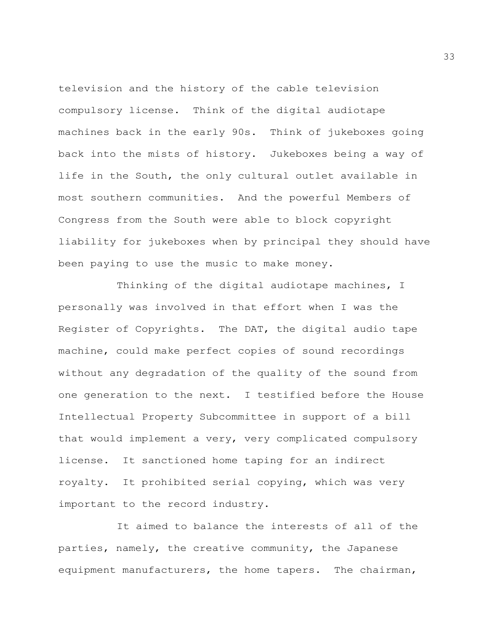television and the history of the cable television compulsory license. Think of the digital audiotape machines back in the early 90s. Think of jukeboxes going back into the mists of history. Jukeboxes being a way of life in the South, the only cultural outlet available in most southern communities. And the powerful Members of Congress from the South were able to block copyright liability for jukeboxes when by principal they should have been paying to use the music to make money.

Thinking of the digital audiotape machines, I personally was involved in that effort when I was the Register of Copyrights. The DAT, the digital audio tape machine, could make perfect copies of sound recordings without any degradation of the quality of the sound from one generation to the next. I testified before the House Intellectual Property Subcommittee in support of a bill that would implement a very, very complicated compulsory license. It sanctioned home taping for an indirect royalty. It prohibited serial copying, which was very important to the record industry.

It aimed to balance the interests of all of the parties, namely, the creative community, the Japanese equipment manufacturers, the home tapers. The chairman,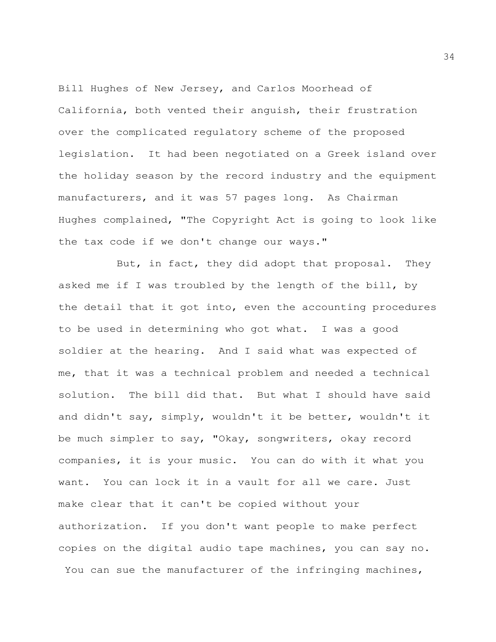Bill Hughes of New Jersey, and Carlos Moorhead of California, both vented their anguish, their frustration over the complicated regulatory scheme of the proposed legislation. It had been negotiated on a Greek island over the holiday season by the record industry and the equipment manufacturers, and it was 57 pages long. As Chairman Hughes complained, "The Copyright Act is going to look like the tax code if we don't change our ways."

But, in fact, they did adopt that proposal. They asked me if I was troubled by the length of the bill, by the detail that it got into, even the accounting procedures to be used in determining who got what. I was a good soldier at the hearing. And I said what was expected of me, that it was a technical problem and needed a technical solution. The bill did that. But what I should have said and didn't say, simply, wouldn't it be better, wouldn't it be much simpler to say, "Okay, songwriters, okay record companies, it is your music. You can do with it what you want. You can lock it in a vault for all we care. Just make clear that it can't be copied without your authorization. If you don't want people to make perfect copies on the digital audio tape machines, you can say no. You can sue the manufacturer of the infringing machines,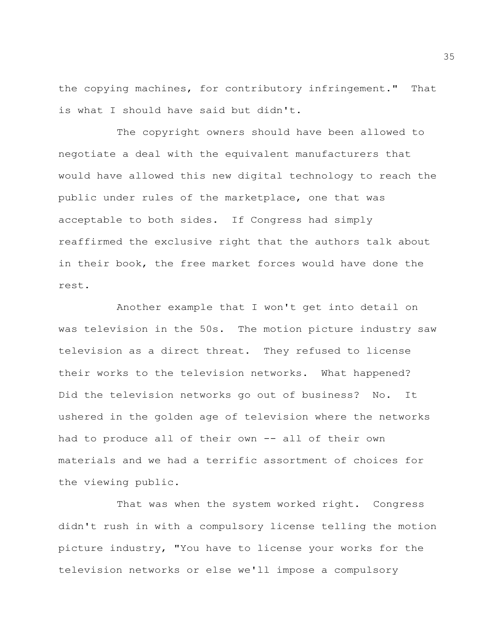the copying machines, for contributory infringement." That is what I should have said but didn't.

The copyright owners should have been allowed to negotiate a deal with the equivalent manufacturers that would have allowed this new digital technology to reach the public under rules of the marketplace, one that was acceptable to both sides. If Congress had simply reaffirmed the exclusive right that the authors talk about in their book, the free market forces would have done the rest.

Another example that I won't get into detail on was television in the 50s. The motion picture industry saw television as a direct threat. They refused to license their works to the television networks. What happened? Did the television networks go out of business? No. It ushered in the golden age of television where the networks had to produce all of their own -- all of their own materials and we had a terrific assortment of choices for the viewing public.

That was when the system worked right. Congress didn't rush in with a compulsory license telling the motion picture industry, "You have to license your works for the television networks or else we'll impose a compulsory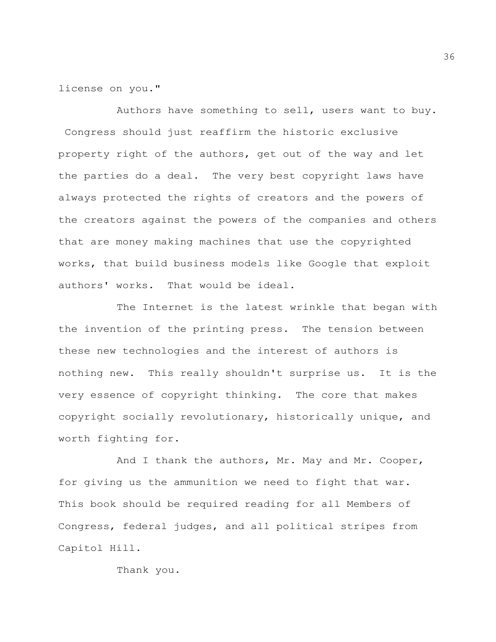license on you."

Authors have something to sell, users want to buy. Congress should just reaffirm the historic exclusive property right of the authors, get out of the way and let the parties do a deal. The very best copyright laws have always protected the rights of creators and the powers of the creators against the powers of the companies and others that are money making machines that use the copyrighted works, that build business models like Google that exploit authors' works. That would be ideal.

The Internet is the latest wrinkle that began with the invention of the printing press. The tension between these new technologies and the interest of authors is nothing new. This really shouldn't surprise us. It is the very essence of copyright thinking. The core that makes copyright socially revolutionary, historically unique, and worth fighting for.

And I thank the authors, Mr. May and Mr. Cooper, for giving us the ammunition we need to fight that war. This book should be required reading for all Members of Congress, federal judges, and all political stripes from Capitol Hill.

Thank you.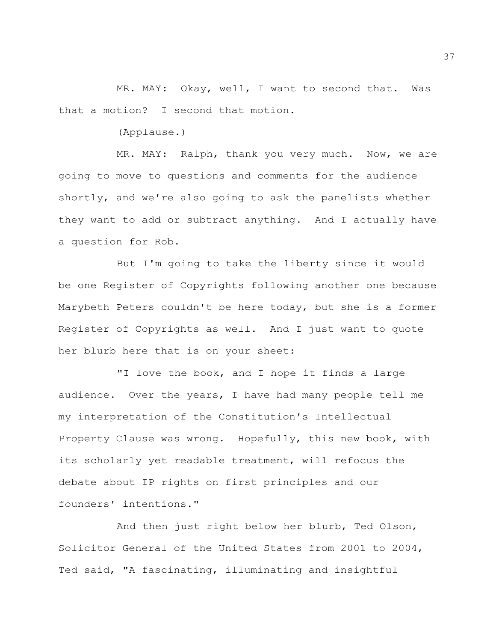MR. MAY: Okay, well, I want to second that. Was that a motion? I second that motion.

(Applause.)

MR. MAY: Ralph, thank you very much. Now, we are going to move to questions and comments for the audience shortly, and we're also going to ask the panelists whether they want to add or subtract anything. And I actually have a question for Rob.

But I'm going to take the liberty since it would be one Register of Copyrights following another one because Marybeth Peters couldn't be here today, but she is a former Register of Copyrights as well. And I just want to quote her blurb here that is on your sheet:

"I love the book, and I hope it finds a large audience. Over the years, I have had many people tell me my interpretation of the Constitution's Intellectual Property Clause was wrong. Hopefully, this new book, with its scholarly yet readable treatment, will refocus the debate about IP rights on first principles and our founders' intentions."

And then just right below her blurb, Ted Olson, Solicitor General of the United States from 2001 to 2004, Ted said, "A fascinating, illuminating and insightful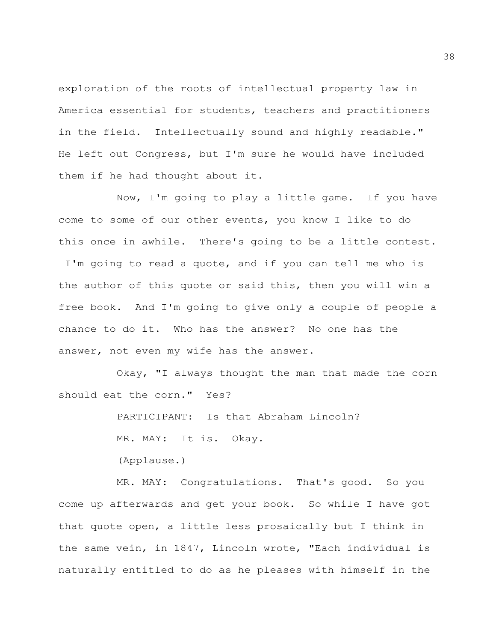exploration of the roots of intellectual property law in America essential for students, teachers and practitioners in the field. Intellectually sound and highly readable." He left out Congress, but I'm sure he would have included them if he had thought about it.

Now, I'm going to play a little game. If you have come to some of our other events, you know I like to do this once in awhile. There's going to be a little contest. I'm going to read a quote, and if you can tell me who is the author of this quote or said this, then you will win a free book. And I'm going to give only a couple of people a chance to do it. Who has the answer? No one has the answer, not even my wife has the answer.

Okay, "I always thought the man that made the corn should eat the corn." Yes?

PARTICIPANT: Is that Abraham Lincoln?

MR. MAY: It is. Okay.

(Applause.)

MR. MAY: Congratulations. That's good. So you come up afterwards and get your book. So while I have got that quote open, a little less prosaically but I think in the same vein, in 1847, Lincoln wrote, "Each individual is naturally entitled to do as he pleases with himself in the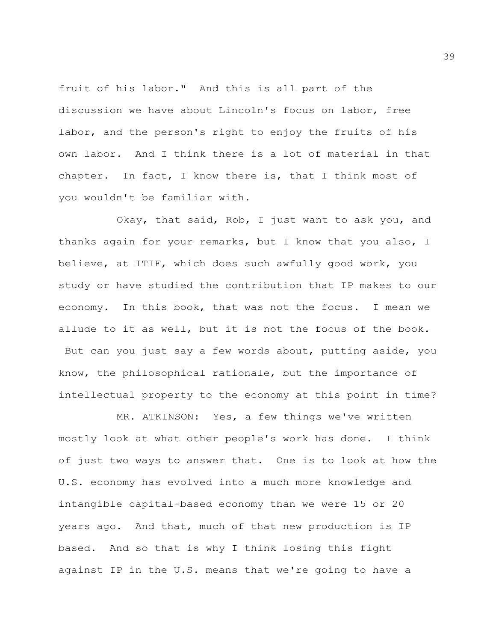fruit of his labor." And this is all part of the discussion we have about Lincoln's focus on labor, free labor, and the person's right to enjoy the fruits of his own labor. And I think there is a lot of material in that chapter. In fact, I know there is, that I think most of you wouldn't be familiar with.

Okay, that said, Rob, I just want to ask you, and thanks again for your remarks, but I know that you also, I believe, at ITIF, which does such awfully good work, you study or have studied the contribution that IP makes to our economy. In this book, that was not the focus. I mean we allude to it as well, but it is not the focus of the book. But can you just say a few words about, putting aside, you know, the philosophical rationale, but the importance of intellectual property to the economy at this point in time?

MR. ATKINSON: Yes, a few things we've written mostly look at what other people's work has done. I think of just two ways to answer that. One is to look at how the U.S. economy has evolved into a much more knowledge and intangible capital-based economy than we were 15 or 20 years ago. And that, much of that new production is IP based. And so that is why I think losing this fight against IP in the U.S. means that we're going to have a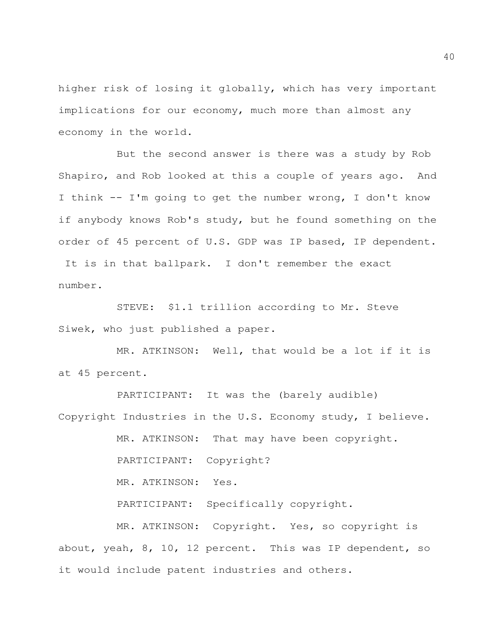higher risk of losing it globally, which has very important implications for our economy, much more than almost any economy in the world.

But the second answer is there was a study by Rob Shapiro, and Rob looked at this a couple of years ago. And I think -- I'm going to get the number wrong, I don't know if anybody knows Rob's study, but he found something on the order of 45 percent of U.S. GDP was IP based, IP dependent. It is in that ballpark. I don't remember the exact number.

STEVE: \$1.1 trillion according to Mr. Steve Siwek, who just published a paper.

MR. ATKINSON: Well, that would be a lot if it is at 45 percent.

PARTICIPANT: It was the (barely audible) Copyright Industries in the U.S. Economy study, I believe.

MR. ATKINSON: That may have been copyright.

PARTICIPANT: Copyright?

MR. ATKINSON: Yes.

PARTICIPANT: Specifically copyright.

MR. ATKINSON: Copyright. Yes, so copyright is about, yeah, 8, 10, 12 percent. This was IP dependent, so it would include patent industries and others.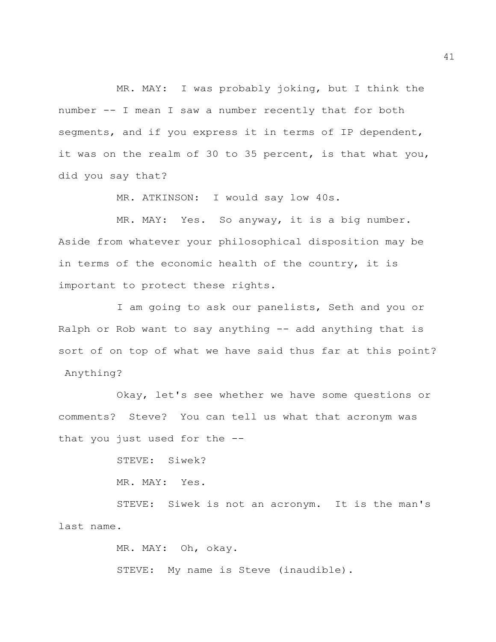MR. MAY: I was probably joking, but I think the number -- I mean I saw a number recently that for both segments, and if you express it in terms of IP dependent, it was on the realm of 30 to 35 percent, is that what you, did you say that?

MR. ATKINSON: I would say low 40s.

MR. MAY: Yes. So anyway, it is a big number. Aside from whatever your philosophical disposition may be in terms of the economic health of the country, it is important to protect these rights.

I am going to ask our panelists, Seth and you or Ralph or Rob want to say anything -- add anything that is sort of on top of what we have said thus far at this point? Anything?

Okay, let's see whether we have some questions or comments? Steve? You can tell us what that acronym was that you just used for the --

> STEVE: Siwek? MR. MAY: Yes.

STEVE: Siwek is not an acronym. It is the man's last name.

> MR. MAY: Oh, okay. STEVE: My name is Steve (inaudible).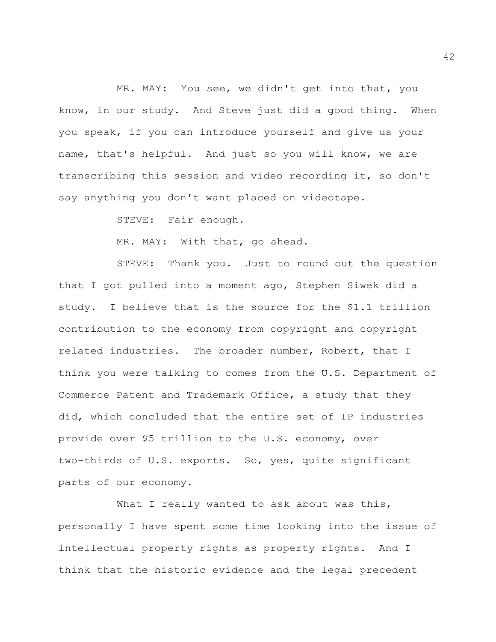MR. MAY: You see, we didn't get into that, you know, in our study. And Steve just did a good thing. When you speak, if you can introduce yourself and give us your name, that's helpful. And just so you will know, we are transcribing this session and video recording it, so don't say anything you don't want placed on videotape.

STEVE: Fair enough.

MR. MAY: With that, go ahead.

STEVE: Thank you. Just to round out the question that I got pulled into a moment ago, Stephen Siwek did a study. I believe that is the source for the \$1.1 trillion contribution to the economy from copyright and copyright related industries. The broader number, Robert, that I think you were talking to comes from the U.S. Department of Commerce Patent and Trademark Office, a study that they did, which concluded that the entire set of IP industries provide over \$5 trillion to the U.S. economy, over two-thirds of U.S. exports. So, yes, quite significant parts of our economy.

What I really wanted to ask about was this, personally I have spent some time looking into the issue of intellectual property rights as property rights. And I think that the historic evidence and the legal precedent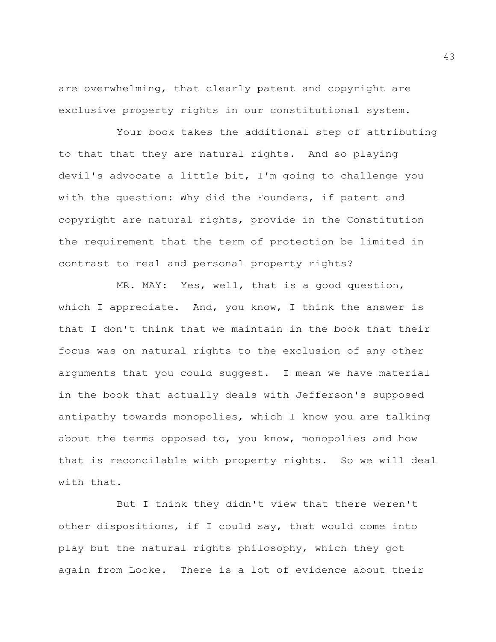are overwhelming, that clearly patent and copyright are exclusive property rights in our constitutional system.

Your book takes the additional step of attributing to that that they are natural rights. And so playing devil's advocate a little bit, I'm going to challenge you with the question: Why did the Founders, if patent and copyright are natural rights, provide in the Constitution the requirement that the term of protection be limited in contrast to real and personal property rights?

MR. MAY: Yes, well, that is a good question, which I appreciate. And, you know, I think the answer is that I don't think that we maintain in the book that their focus was on natural rights to the exclusion of any other arguments that you could suggest. I mean we have material in the book that actually deals with Jefferson's supposed antipathy towards monopolies, which I know you are talking about the terms opposed to, you know, monopolies and how that is reconcilable with property rights. So we will deal with that.

But I think they didn't view that there weren't other dispositions, if I could say, that would come into play but the natural rights philosophy, which they got again from Locke. There is a lot of evidence about their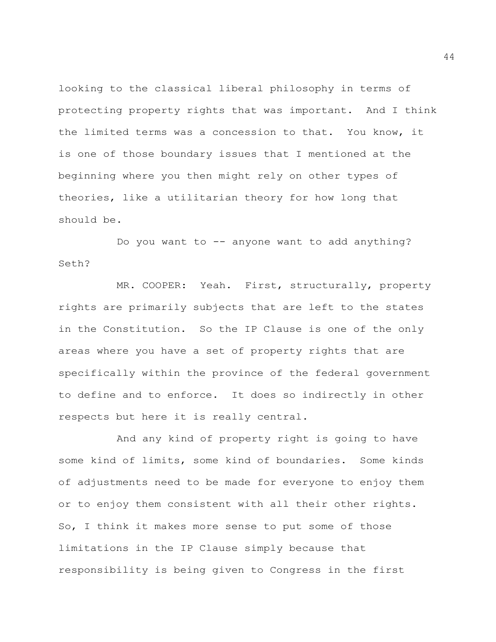looking to the classical liberal philosophy in terms of protecting property rights that was important. And I think the limited terms was a concession to that. You know, it is one of those boundary issues that I mentioned at the beginning where you then might rely on other types of theories, like a utilitarian theory for how long that should be.

Do you want to -- anyone want to add anything? Seth?

MR. COOPER: Yeah. First, structurally, property rights are primarily subjects that are left to the states in the Constitution. So the IP Clause is one of the only areas where you have a set of property rights that are specifically within the province of the federal government to define and to enforce. It does so indirectly in other respects but here it is really central.

And any kind of property right is going to have some kind of limits, some kind of boundaries. Some kinds of adjustments need to be made for everyone to enjoy them or to enjoy them consistent with all their other rights. So, I think it makes more sense to put some of those limitations in the IP Clause simply because that responsibility is being given to Congress in the first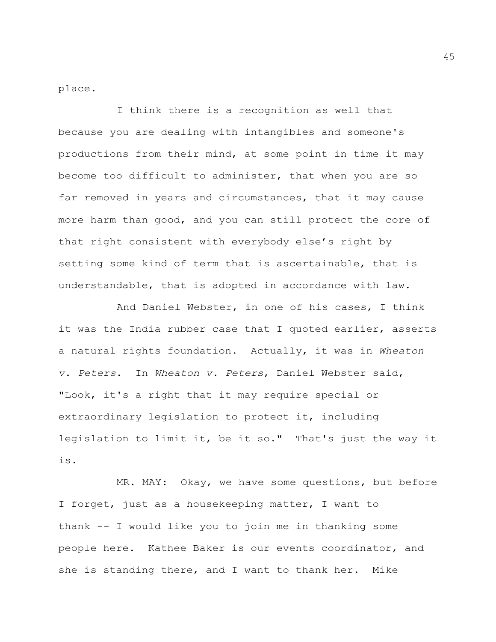place.

I think there is a recognition as well that because you are dealing with intangibles and someone's productions from their mind, at some point in time it may become too difficult to administer, that when you are so far removed in years and circumstances, that it may cause more harm than good, and you can still protect the core of that right consistent with everybody else's right by setting some kind of term that is ascertainable, that is understandable, that is adopted in accordance with law.

And Daniel Webster, in one of his cases, I think it was the India rubber case that I quoted earlier, asserts a natural rights foundation. Actually, it was in *Wheaton v. Peters*. In *Wheaton v. Peters*, Daniel Webster said, "Look, it's a right that it may require special or extraordinary legislation to protect it, including legislation to limit it, be it so." That's just the way it is.

MR. MAY: Okay, we have some questions, but before I forget, just as a housekeeping matter, I want to thank -- I would like you to join me in thanking some people here. Kathee Baker is our events coordinator, and she is standing there, and I want to thank her. Mike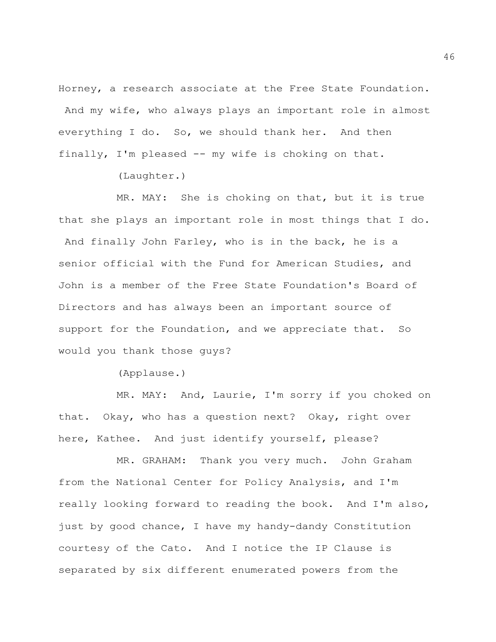Horney, a research associate at the Free State Foundation. And my wife, who always plays an important role in almost everything I do. So, we should thank her. And then finally, I'm pleased -- my wife is choking on that.

(Laughter.)

MR. MAY: She is choking on that, but it is true that she plays an important role in most things that I do. And finally John Farley, who is in the back, he is a senior official with the Fund for American Studies, and John is a member of the Free State Foundation's Board of Directors and has always been an important source of support for the Foundation, and we appreciate that. So would you thank those guys?

(Applause.)

MR. MAY: And, Laurie, I'm sorry if you choked on that. Okay, who has a question next? Okay, right over here, Kathee. And just identify yourself, please?

MR. GRAHAM: Thank you very much. John Graham from the National Center for Policy Analysis, and I'm really looking forward to reading the book. And I'm also, just by good chance, I have my handy-dandy Constitution courtesy of the Cato. And I notice the IP Clause is separated by six different enumerated powers from the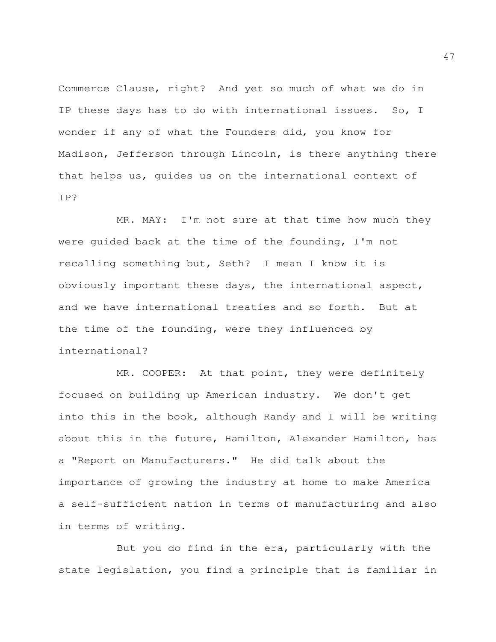Commerce Clause, right? And yet so much of what we do in IP these days has to do with international issues. So, I wonder if any of what the Founders did, you know for Madison, Jefferson through Lincoln, is there anything there that helps us, guides us on the international context of IP?

MR. MAY: I'm not sure at that time how much they were guided back at the time of the founding, I'm not recalling something but, Seth? I mean I know it is obviously important these days, the international aspect, and we have international treaties and so forth. But at the time of the founding, were they influenced by international?

MR. COOPER: At that point, they were definitely focused on building up American industry. We don't get into this in the book, although Randy and I will be writing about this in the future, Hamilton, Alexander Hamilton, has a "Report on Manufacturers." He did talk about the importance of growing the industry at home to make America a self-sufficient nation in terms of manufacturing and also in terms of writing.

But you do find in the era, particularly with the state legislation, you find a principle that is familiar in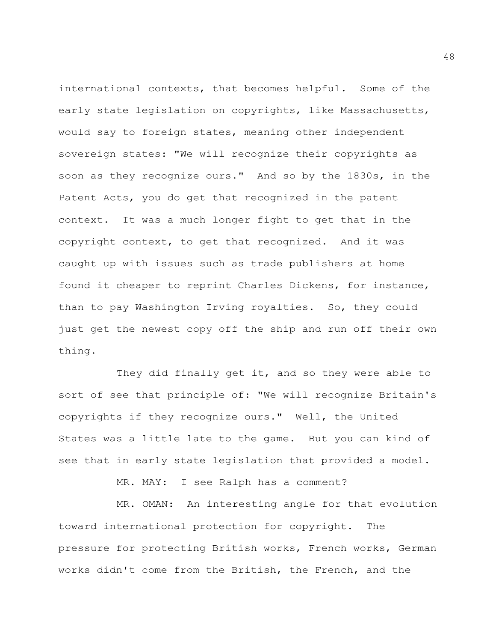international contexts, that becomes helpful. Some of the early state legislation on copyrights, like Massachusetts, would say to foreign states, meaning other independent sovereign states: "We will recognize their copyrights as soon as they recognize ours." And so by the 1830s, in the Patent Acts, you do get that recognized in the patent context. It was a much longer fight to get that in the copyright context, to get that recognized. And it was caught up with issues such as trade publishers at home found it cheaper to reprint Charles Dickens, for instance, than to pay Washington Irving royalties. So, they could just get the newest copy off the ship and run off their own thing.

They did finally get it, and so they were able to sort of see that principle of: "We will recognize Britain's copyrights if they recognize ours." Well, the United States was a little late to the game. But you can kind of see that in early state legislation that provided a model.

MR. MAY: I see Ralph has a comment?

MR. OMAN: An interesting angle for that evolution toward international protection for copyright. The pressure for protecting British works, French works, German works didn't come from the British, the French, and the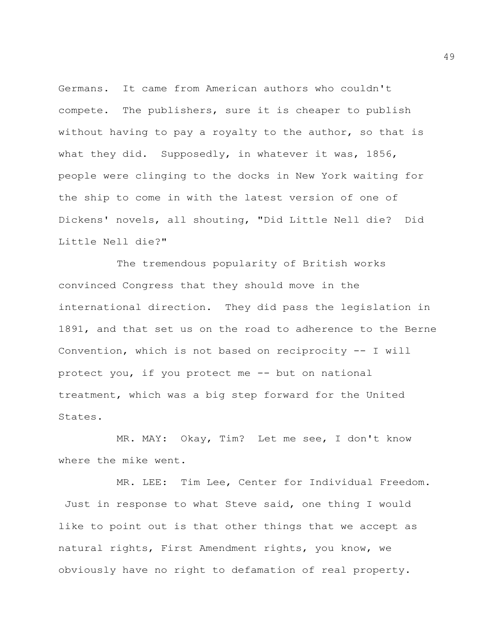Germans. It came from American authors who couldn't compete. The publishers, sure it is cheaper to publish without having to pay a royalty to the author, so that is what they did. Supposedly, in whatever it was, 1856, people were clinging to the docks in New York waiting for the ship to come in with the latest version of one of Dickens' novels, all shouting, "Did Little Nell die? Did Little Nell die?"

The tremendous popularity of British works convinced Congress that they should move in the international direction. They did pass the legislation in 1891, and that set us on the road to adherence to the Berne Convention, which is not based on reciprocity -- I will protect you, if you protect me -- but on national treatment, which was a big step forward for the United States.

MR. MAY: Okay, Tim? Let me see, I don't know where the mike went.

MR. LEE: Tim Lee, Center for Individual Freedom. Just in response to what Steve said, one thing I would like to point out is that other things that we accept as natural rights, First Amendment rights, you know, we obviously have no right to defamation of real property.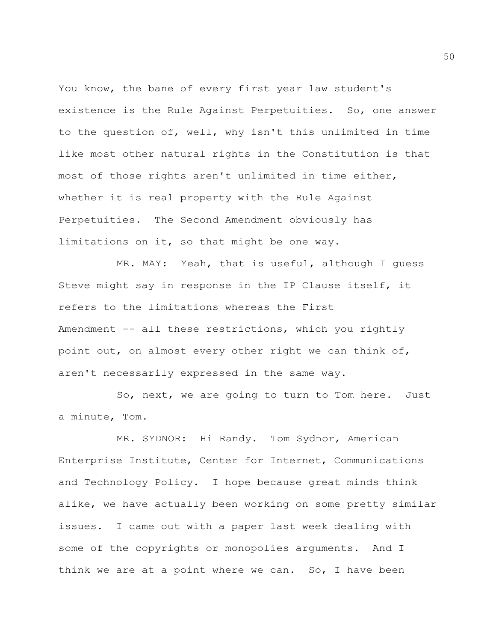You know, the bane of every first year law student's existence is the Rule Against Perpetuities. So, one answer to the question of, well, why isn't this unlimited in time like most other natural rights in the Constitution is that most of those rights aren't unlimited in time either, whether it is real property with the Rule Against Perpetuities. The Second Amendment obviously has limitations on it, so that might be one way.

MR. MAY: Yeah, that is useful, although I guess Steve might say in response in the IP Clause itself, it refers to the limitations whereas the First Amendment -- all these restrictions, which you rightly point out, on almost every other right we can think of, aren't necessarily expressed in the same way.

So, next, we are going to turn to Tom here. Just a minute, Tom.

MR. SYDNOR: Hi Randy. Tom Sydnor, American Enterprise Institute, Center for Internet, Communications and Technology Policy. I hope because great minds think alike, we have actually been working on some pretty similar issues. I came out with a paper last week dealing with some of the copyrights or monopolies arguments. And I think we are at a point where we can. So, I have been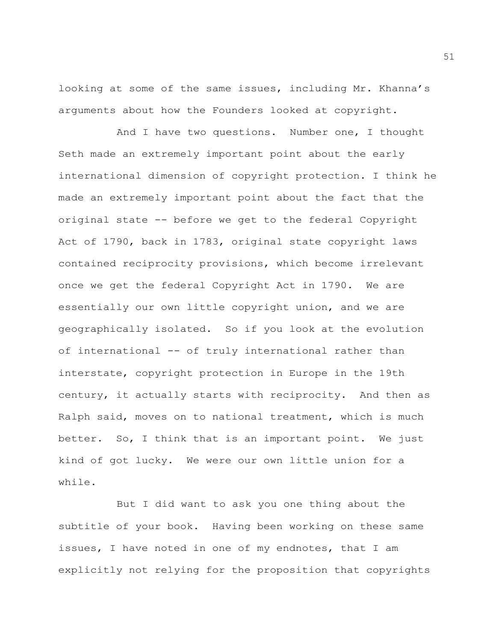looking at some of the same issues, including Mr. Khanna's arguments about how the Founders looked at copyright.

And I have two questions. Number one, I thought Seth made an extremely important point about the early international dimension of copyright protection. I think he made an extremely important point about the fact that the original state -- before we get to the federal Copyright Act of 1790, back in 1783, original state copyright laws contained reciprocity provisions, which become irrelevant once we get the federal Copyright Act in 1790. We are essentially our own little copyright union, and we are geographically isolated. So if you look at the evolution of international -- of truly international rather than interstate, copyright protection in Europe in the 19th century, it actually starts with reciprocity. And then as Ralph said, moves on to national treatment, which is much better. So, I think that is an important point. We just kind of got lucky. We were our own little union for a while.

But I did want to ask you one thing about the subtitle of your book. Having been working on these same issues, I have noted in one of my endnotes, that I am explicitly not relying for the proposition that copyrights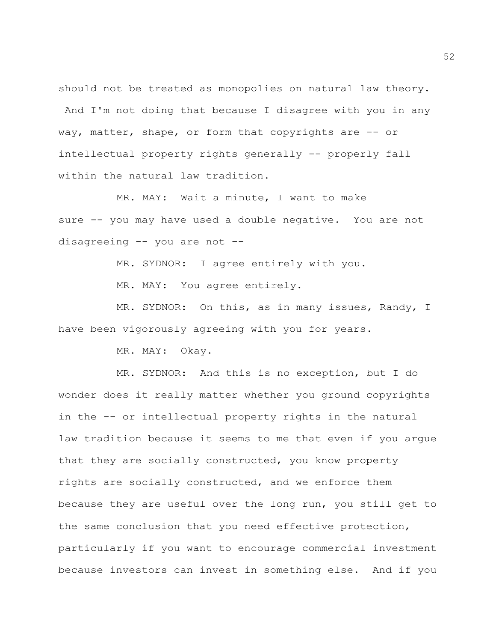should not be treated as monopolies on natural law theory.

And I'm not doing that because I disagree with you in any way, matter, shape, or form that copyrights are -- or intellectual property rights generally -- properly fall within the natural law tradition.

MR. MAY: Wait a minute, I want to make sure -- you may have used a double negative. You are not disagreeing -- you are not --

MR. SYDNOR: I agree entirely with you.

MR. MAY: You agree entirely.

MR. SYDNOR: On this, as in many issues, Randy, I have been vigorously agreeing with you for years.

MR. MAY: Okay.

MR. SYDNOR: And this is no exception, but I do wonder does it really matter whether you ground copyrights in the -- or intellectual property rights in the natural law tradition because it seems to me that even if you argue that they are socially constructed, you know property rights are socially constructed, and we enforce them because they are useful over the long run, you still get to the same conclusion that you need effective protection, particularly if you want to encourage commercial investment because investors can invest in something else. And if you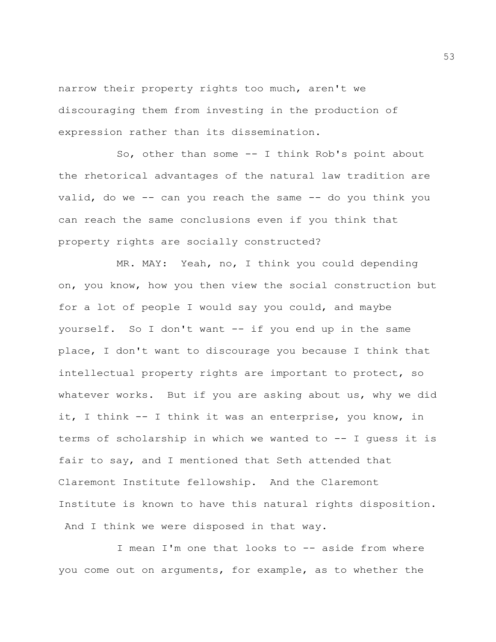narrow their property rights too much, aren't we discouraging them from investing in the production of expression rather than its dissemination.

So, other than some -- I think Rob's point about the rhetorical advantages of the natural law tradition are valid, do we -- can you reach the same -- do you think you can reach the same conclusions even if you think that property rights are socially constructed?

MR. MAY: Yeah, no, I think you could depending on, you know, how you then view the social construction but for a lot of people I would say you could, and maybe yourself. So I don't want -- if you end up in the same place, I don't want to discourage you because I think that intellectual property rights are important to protect, so whatever works. But if you are asking about us, why we did it, I think -- I think it was an enterprise, you know, in terms of scholarship in which we wanted to -- I guess it is fair to say, and I mentioned that Seth attended that Claremont Institute fellowship. And the Claremont Institute is known to have this natural rights disposition. And I think we were disposed in that way.

I mean I'm one that looks to -- aside from where you come out on arguments, for example, as to whether the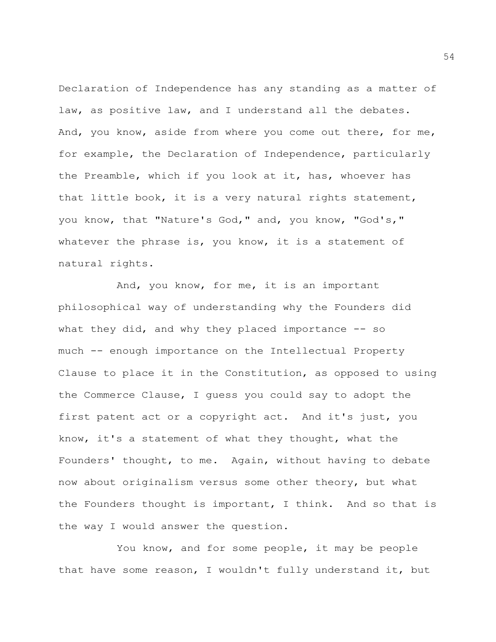Declaration of Independence has any standing as a matter of law, as positive law, and I understand all the debates. And, you know, aside from where you come out there, for me, for example, the Declaration of Independence, particularly the Preamble, which if you look at it, has, whoever has that little book, it is a very natural rights statement, you know, that "Nature's God," and, you know, "God's," whatever the phrase is, you know, it is a statement of natural rights.

And, you know, for me, it is an important philosophical way of understanding why the Founders did what they did, and why they placed importance  $-$ - so much -- enough importance on the Intellectual Property Clause to place it in the Constitution, as opposed to using the Commerce Clause, I guess you could say to adopt the first patent act or a copyright act. And it's just, you know, it's a statement of what they thought, what the Founders' thought, to me. Again, without having to debate now about originalism versus some other theory, but what the Founders thought is important, I think. And so that is the way I would answer the question.

You know, and for some people, it may be people that have some reason, I wouldn't fully understand it, but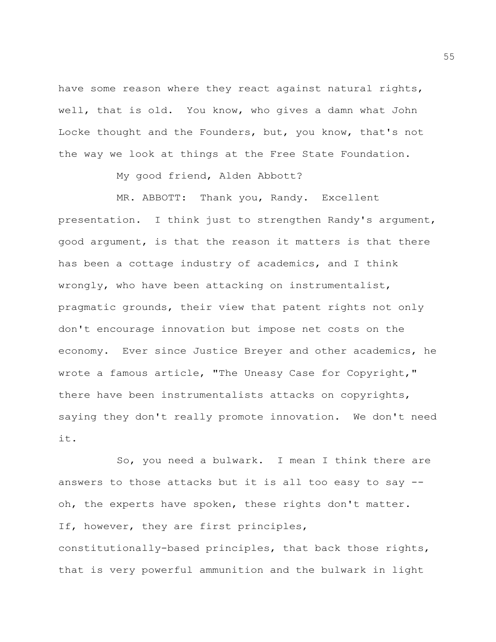have some reason where they react against natural rights, well, that is old. You know, who gives a damn what John Locke thought and the Founders, but, you know, that's not the way we look at things at the Free State Foundation.

My good friend, Alden Abbott?

MR. ABBOTT: Thank you, Randy. Excellent presentation. I think just to strengthen Randy's argument, good argument, is that the reason it matters is that there has been a cottage industry of academics, and I think wrongly, who have been attacking on instrumentalist, pragmatic grounds, their view that patent rights not only don't encourage innovation but impose net costs on the economy. Ever since Justice Breyer and other academics, he wrote a famous article, "The Uneasy Case for Copyright," there have been instrumentalists attacks on copyrights, saying they don't really promote innovation. We don't need it.

So, you need a bulwark. I mean I think there are answers to those attacks but it is all too easy to say - oh, the experts have spoken, these rights don't matter. If, however, they are first principles, constitutionally-based principles, that back those rights, that is very powerful ammunition and the bulwark in light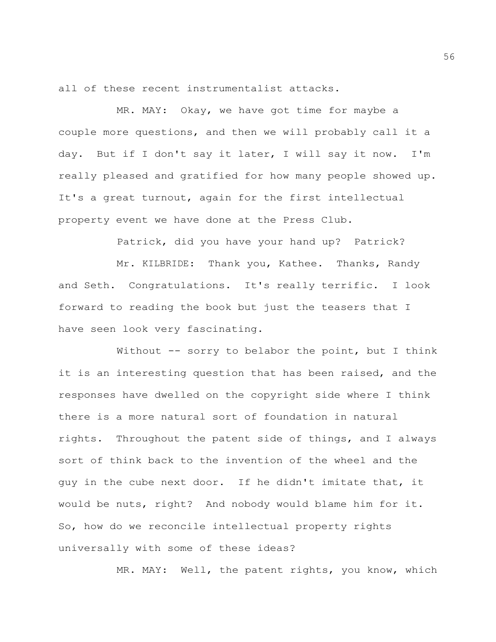all of these recent instrumentalist attacks.

MR. MAY: Okay, we have got time for maybe a couple more questions, and then we will probably call it a day. But if I don't say it later, I will say it now. I'm really pleased and gratified for how many people showed up. It's a great turnout, again for the first intellectual property event we have done at the Press Club.

Patrick, did you have your hand up? Patrick?

Mr. KILBRIDE: Thank you, Kathee. Thanks, Randy and Seth. Congratulations. It's really terrific. I look forward to reading the book but just the teasers that I have seen look very fascinating.

Without -- sorry to belabor the point, but I think it is an interesting question that has been raised, and the responses have dwelled on the copyright side where I think there is a more natural sort of foundation in natural rights. Throughout the patent side of things, and I always sort of think back to the invention of the wheel and the guy in the cube next door. If he didn't imitate that, it would be nuts, right? And nobody would blame him for it. So, how do we reconcile intellectual property rights universally with some of these ideas?

MR. MAY: Well, the patent rights, you know, which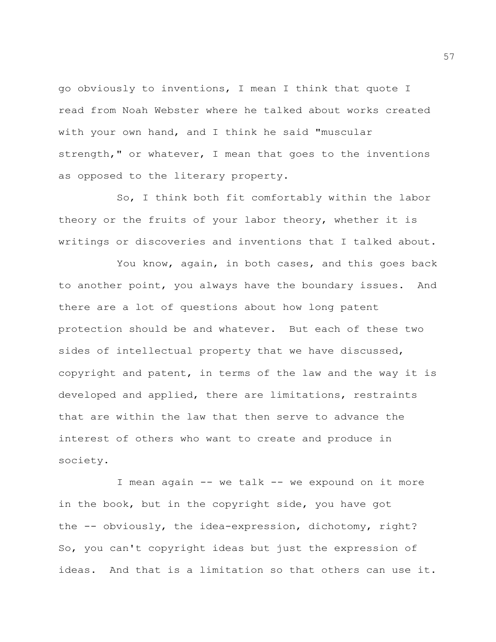go obviously to inventions, I mean I think that quote I read from Noah Webster where he talked about works created with your own hand, and I think he said "muscular strength," or whatever, I mean that goes to the inventions as opposed to the literary property.

So, I think both fit comfortably within the labor theory or the fruits of your labor theory, whether it is writings or discoveries and inventions that I talked about.

You know, again, in both cases, and this goes back to another point, you always have the boundary issues. And there are a lot of questions about how long patent protection should be and whatever. But each of these two sides of intellectual property that we have discussed, copyright and patent, in terms of the law and the way it is developed and applied, there are limitations, restraints that are within the law that then serve to advance the interest of others who want to create and produce in society.

I mean again -- we talk -- we expound on it more in the book, but in the copyright side, you have got the -- obviously, the idea-expression, dichotomy, right? So, you can't copyright ideas but just the expression of ideas. And that is a limitation so that others can use it.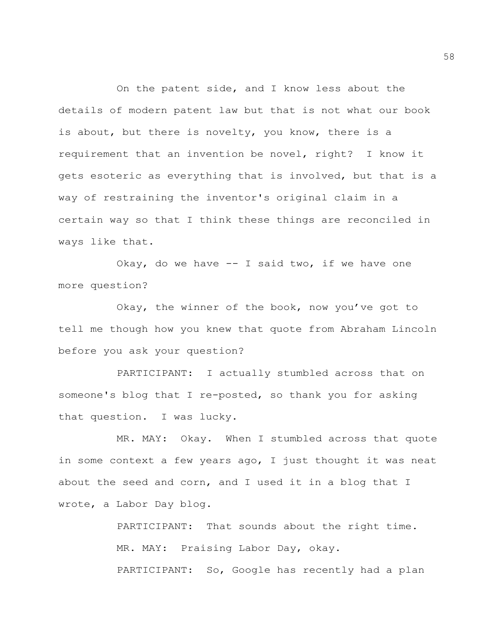On the patent side, and I know less about the details of modern patent law but that is not what our book is about, but there is novelty, you know, there is a requirement that an invention be novel, right? I know it gets esoteric as everything that is involved, but that is a way of restraining the inventor's original claim in a certain way so that I think these things are reconciled in ways like that.

Okay, do we have  $-$  I said two, if we have one more question?

Okay, the winner of the book, now you've got to tell me though how you knew that quote from Abraham Lincoln before you ask your question?

PARTICIPANT: I actually stumbled across that on someone's blog that I re-posted, so thank you for asking that question. I was lucky.

MR. MAY: Okay. When I stumbled across that quote in some context a few years ago, I just thought it was neat about the seed and corn, and I used it in a blog that I wrote, a Labor Day blog.

> PARTICIPANT: That sounds about the right time. MR. MAY: Praising Labor Day, okay. PARTICIPANT: So, Google has recently had a plan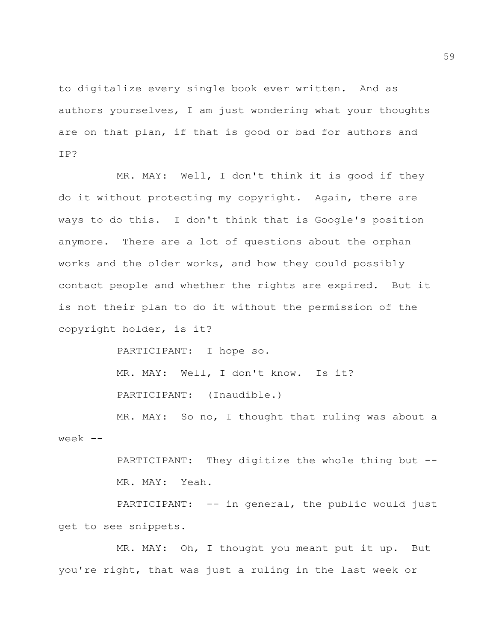to digitalize every single book ever written. And as authors yourselves, I am just wondering what your thoughts are on that plan, if that is good or bad for authors and IP?

MR. MAY: Well, I don't think it is good if they do it without protecting my copyright. Again, there are ways to do this. I don't think that is Google's position anymore. There are a lot of questions about the orphan works and the older works, and how they could possibly contact people and whether the rights are expired. But it is not their plan to do it without the permission of the copyright holder, is it?

PARTICIPANT: I hope so.

MR. MAY: Well, I don't know. Is it? PARTICIPANT: (Inaudible.)

MR. MAY: So no, I thought that ruling was about a week --

> PARTICIPANT: They digitize the whole thing but -- MR. MAY: Yeah.

PARTICIPANT: -- in general, the public would just get to see snippets.

MR. MAY: Oh, I thought you meant put it up. But you're right, that was just a ruling in the last week or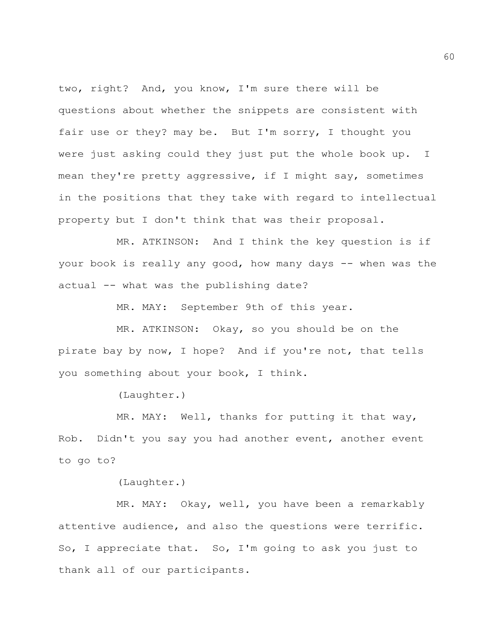two, right? And, you know, I'm sure there will be questions about whether the snippets are consistent with fair use or they? may be. But I'm sorry, I thought you were just asking could they just put the whole book up. I mean they're pretty aggressive, if I might say, sometimes in the positions that they take with regard to intellectual property but I don't think that was their proposal.

MR. ATKINSON: And I think the key question is if your book is really any good, how many days -- when was the actual -- what was the publishing date?

MR. MAY: September 9th of this year.

MR. ATKINSON: Okay, so you should be on the pirate bay by now, I hope? And if you're not, that tells you something about your book, I think.

(Laughter.)

MR. MAY: Well, thanks for putting it that way, Rob. Didn't you say you had another event, another event to go to?

(Laughter.)

MR. MAY: Okay, well, you have been a remarkably attentive audience, and also the questions were terrific. So, I appreciate that. So, I'm going to ask you just to thank all of our participants.